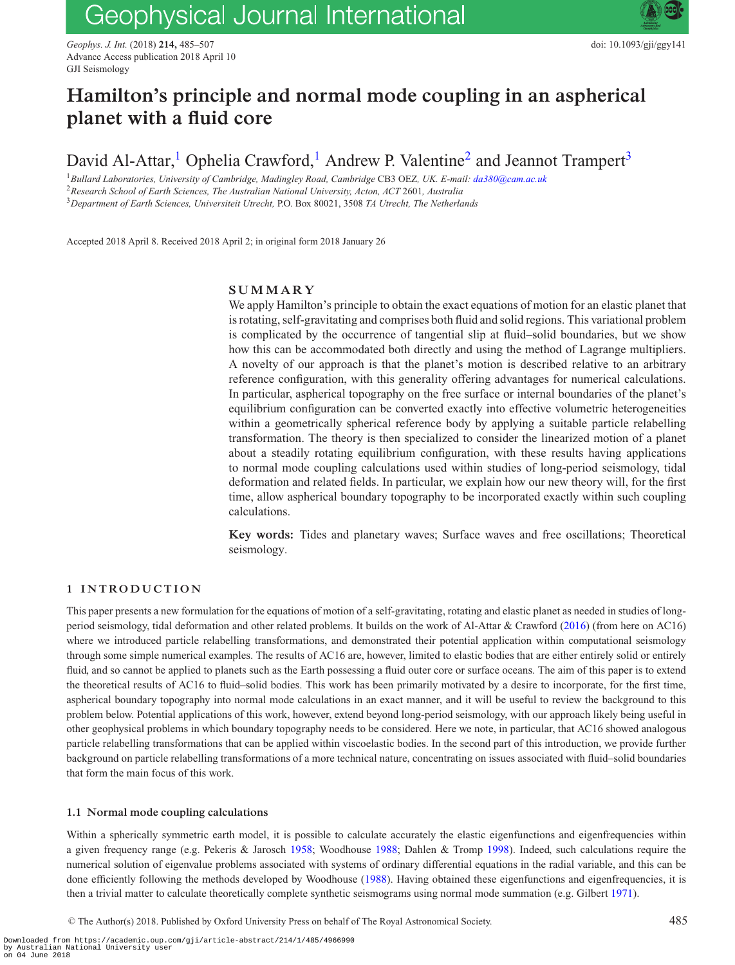# Geophysical Journal International

*Geophys. J. Int.* (2018) **214,** 485–507 doi: 10.1093/gji/ggy141 Advance Access publication 2018 April 10 GJI Seismology

# **Hamilton's principle and normal mode coupling in an aspherical planet with a fluid core**

David Al-Attar,<sup>1</sup> Ophelia Crawford,<sup>1</sup> Andrew P. Valentine<sup>2</sup> and Jeannot Trampert<sup>[3](#page-0-2)</sup>

<span id="page-0-2"></span><span id="page-0-1"></span><span id="page-0-0"></span><sup>1</sup>*Bullard Laboratories, University of Cambridge, Madingley Road, Cambridge* CB3 OEZ*, UK. E-mail: [da380@cam.ac.uk](mailto:da380@cam.ac.uk)* <sup>2</sup>*Research School of Earth Sciences, The Australian National University, Acton, ACT* 2601*, Australia* <sup>3</sup>*Department of Earth Sciences, Universiteit Utrecht,* P.O. Box 80021, 3508 *TA Utrecht, The Netherlands*

Accepted 2018 April 8. Received 2018 April 2; in original form 2018 January 26

# **SUMMARY**

We apply Hamilton's principle to obtain the exact equations of motion for an elastic planet that is rotating, self-gravitating and comprises both fluid and solid regions. This variational problem is complicated by the occurrence of tangential slip at fluid–solid boundaries, but we show how this can be accommodated both directly and using the method of Lagrange multipliers. A novelty of our approach is that the planet's motion is described relative to an arbitrary reference configuration, with this generality offering advantages for numerical calculations. In particular, aspherical topography on the free surface or internal boundaries of the planet's equilibrium configuration can be converted exactly into effective volumetric heterogeneities within a geometrically spherical reference body by applying a suitable particle relabelling transformation. The theory is then specialized to consider the linearized motion of a planet about a steadily rotating equilibrium configuration, with these results having applications to normal mode coupling calculations used within studies of long-period seismology, tidal deformation and related fields. In particular, we explain how our new theory will, for the first time, allow aspherical boundary topography to be incorporated exactly within such coupling calculations.

**Key words:** Tides and planetary waves; Surface waves and free oscillations; Theoretical seismology.

# **1 INTRODUCTION**

This paper presents a new formulation for the equations of motion of a self-gravitating, rotating and elastic planet as needed in studies of longperiod seismology, tidal deformation and other related problems. It builds on the work of Al-Attar & Crawford [\(2016\)](#page-20-0) (from here on AC16) where we introduced particle relabelling transformations, and demonstrated their potential application within computational seismology through some simple numerical examples. The results of AC16 are, however, limited to elastic bodies that are either entirely solid or entirely fluid, and so cannot be applied to planets such as the Earth possessing a fluid outer core or surface oceans. The aim of this paper is to extend the theoretical results of AC16 to fluid–solid bodies. This work has been primarily motivated by a desire to incorporate, for the first time, aspherical boundary topography into normal mode calculations in an exact manner, and it will be useful to review the background to this problem below. Potential applications of this work, however, extend beyond long-period seismology, with our approach likely being useful in other geophysical problems in which boundary topography needs to be considered. Here we note, in particular, that AC16 showed analogous particle relabelling transformations that can be applied within viscoelastic bodies. In the second part of this introduction, we provide further background on particle relabelling transformations of a more technical nature, concentrating on issues associated with fluid–solid boundaries that form the main focus of this work.

# **1.1 Normal mode coupling calculations**

Within a spherically symmetric earth model, it is possible to calculate accurately the elastic eigenfunctions and eigenfrequencies within a given frequency range (e.g. Pekeris & Jarosch [1958;](#page-21-0) Woodhouse [1988;](#page-22-0) Dahlen & Tromp [1998\)](#page-21-1). Indeed, such calculations require the numerical solution of eigenvalue problems associated with systems of ordinary differential equations in the radial variable, and this can be done efficiently following the methods developed by Woodhouse [\(1988\)](#page-22-0). Having obtained these eigenfunctions and eigenfrequencies, it is then a trivial matter to calculate theoretically complete synthetic seismograms using normal mode summation (e.g. Gilbert [1971\)](#page-21-2).

-<sup>C</sup> The Author(s) 2018. Published by Oxford University Press on behalf of The Royal Astronomical Society. 485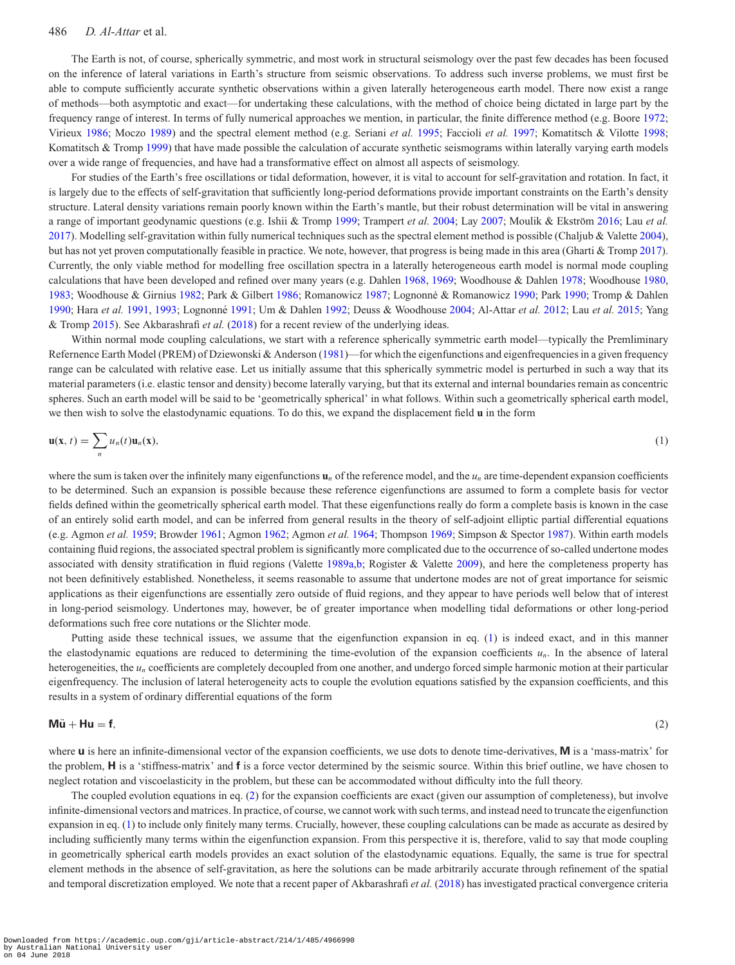The Earth is not, of course, spherically symmetric, and most work in structural seismology over the past few decades has been focused on the inference of lateral variations in Earth's structure from seismic observations. To address such inverse problems, we must first be able to compute sufficiently accurate synthetic observations within a given laterally heterogeneous earth model. There now exist a range of methods—both asymptotic and exact—for undertaking these calculations, with the method of choice being dictated in large part by the frequency range of interest. In terms of fully numerical approaches we mention, in particular, the finite difference method (e.g. Boore [1972;](#page-20-1) Virieux [1986;](#page-22-1) Moczo [1989\)](#page-21-3) and the spectral element method (e.g. Seriani *et al.* [1995;](#page-21-4) Faccioli *et al.* [1997;](#page-21-5) Komatitsch & Vilotte [1998;](#page-21-6) Komatitsch & Tromp [1999\)](#page-21-7) that have made possible the calculation of accurate synthetic seismograms within laterally varying earth models over a wide range of frequencies, and have had a transformative effect on almost all aspects of seismology.

For studies of the Earth's free oscillations or tidal deformation, however, it is vital to account for self-gravitation and rotation. In fact, it is largely due to the effects of self-gravitation that sufficiently long-period deformations provide important constraints on the Earth's density structure. Lateral density variations remain poorly known within the Earth's mantle, but their robust determination will be vital in answering a range of important geodynamic questions (e.g. Ishii & Tromp [1999;](#page-21-8) Trampert *et al.* [2004;](#page-21-9) Lay [2007;](#page-21-10) Moulik & Ekström [2016;](#page-21-11) Lau *et al.* [2017\)](#page-21-12). Modelling self-gravitation within fully numerical techniques such as the spectral element method is possible (Chaljub & Valette [2004\)](#page-20-2), but has not yet proven computationally feasible in practice. We note, however, that progress is being made in this area (Gharti & Tromp [2017\)](#page-21-13). Currently, the only viable method for modelling free oscillation spectra in a laterally heterogeneous earth model is normal mode coupling calculations that have been developed and refined over many years (e.g. Dahlen [1968,](#page-21-14) [1969;](#page-21-15) Woodhouse & Dahlen [1978;](#page-22-2) Woodhouse [1980,](#page-22-3) [1983;](#page-22-4) Woodhouse & Girnius [1982;](#page-22-5) Park & Gilbert [1986;](#page-21-16) Romanowicz [1987;](#page-21-17) Lognonné & Romanowicz [1990;](#page-21-19) Park 1990; Tromp & Dahlen [1990;](#page-21-20) Hara *et al.* [1991,](#page-21-21) [1993;](#page-21-22) Lognonne´ [1991;](#page-21-23) Um & Dahlen [1992;](#page-22-6) Deuss & Woodhouse [2004;](#page-21-24) Al-Attar *et al.* [2012;](#page-20-3) Lau *et al.* [2015;](#page-21-25) Yang & Tromp [2015\)](#page-22-7). See Akbarashrafi *et al.* [\(2018\)](#page-20-4) for a recent review of the underlying ideas.

Within normal mode coupling calculations, we start with a reference spherically symmetric earth model—typically the Premliminary Refernence Earth Model (PREM) of Dziewonski & Anderson [\(1981\)](#page-21-26)—for which the eigenfunctions and eigenfrequencies in a given frequency range can be calculated with relative ease. Let us initially assume that this spherically symmetric model is perturbed in such a way that its material parameters (i.e. elastic tensor and density) become laterally varying, but that its external and internal boundaries remain as concentric spheres. Such an earth model will be said to be 'geometrically spherical' in what follows. Within such a geometrically spherical earth model, we then wish to solve the elastodynamic equations. To do this, we expand the displacement field **u** in the form

$$
\mathbf{u}(\mathbf{x},t) = \sum_{n} u_n(t) \mathbf{u}_n(\mathbf{x}),\tag{1}
$$

where the sum is taken over the infinitely many eigenfunctions  $\mathbf{u}_n$  of the reference model, and the  $u_n$  are time-dependent expansion coefficients to be determined. Such an expansion is possible because these reference eigenfunctions are assumed to form a complete basis for vector fields defined within the geometrically spherical earth model. That these eigenfunctions really do form a complete basis is known in the case of an entirely solid earth model, and can be inferred from general results in the theory of self-adjoint elliptic partial differential equations (e.g. Agmon *et al.* [1959;](#page-20-5) Browder [1961;](#page-20-6) Agmon [1962;](#page-20-7) Agmon *et al.* [1964;](#page-20-8) Thompson [1969;](#page-21-27) Simpson & Spector [1987\)](#page-21-28). Within earth models containing fluid regions, the associated spectral problem is significantly more complicated due to the occurrence of so-called undertone modes associated with density stratification in fluid regions (Valette [1989a,](#page-22-8)[b;](#page-22-9) Rogister & Valette [2009\)](#page-21-29), and here the completeness property has not been definitively established. Nonetheless, it seems reasonable to assume that undertone modes are not of great importance for seismic applications as their eigenfunctions are essentially zero outside of fluid regions, and they appear to have periods well below that of interest in long-period seismology. Undertones may, however, be of greater importance when modelling tidal deformations or other long-period deformations such free core nutations or the Slichter mode.

Putting aside these technical issues, we assume that the eigenfunction expansion in eq. (1) is indeed exact, and in this manner the elastodynamic equations are reduced to determining the time-evolution of the expansion coefficients *un*. In the absence of lateral heterogeneities, the  $u_n$  coefficients are completely decoupled from one another, and undergo forced simple harmonic motion at their particular eigenfrequency. The inclusion of lateral heterogeneity acts to couple the evolution equations satisfied by the expansion coefficients, and this results in a system of ordinary differential equations of the form

## **M** $\ddot{\mathbf{u}} + \mathbf{H}\mathbf{u} = \mathbf{f}$ , (2)

where **u** is here an infinite-dimensional vector of the expansion coefficients, we use dots to denote time-derivatives, **M** is a 'mass-matrix' for the problem, **H** is a 'stiffness-matrix' and **f** is a force vector determined by the seismic source. Within this brief outline, we have chosen to neglect rotation and viscoelasticity in the problem, but these can be accommodated without difficulty into the full theory.

The coupled evolution equations in eq. (2) for the expansion coefficients are exact (given our assumption of completeness), but involve infinite-dimensional vectors and matrices. In practice, of course, we cannot work with such terms, and instead need to truncate the eigenfunction expansion in eq. (1) to include only finitely many terms. Crucially, however, these coupling calculations can be made as accurate as desired by including sufficiently many terms within the eigenfunction expansion. From this perspective it is, therefore, valid to say that mode coupling in geometrically spherical earth models provides an exact solution of the elastodynamic equations. Equally, the same is true for spectral element methods in the absence of self-gravitation, as here the solutions can be made arbitrarily accurate through refinement of the spatial and temporal discretization employed. We note that a recent paper of Akbarashrafi *et al.* [\(2018\)](#page-20-4) has investigated practical convergence criteria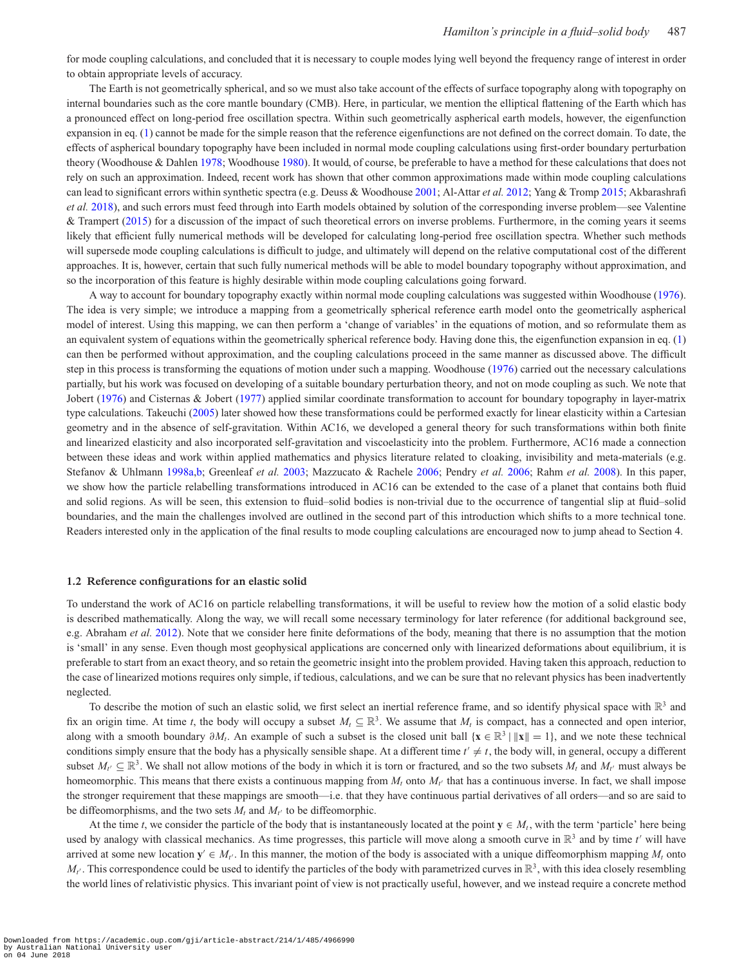for mode coupling calculations, and concluded that it is necessary to couple modes lying well beyond the frequency range of interest in order to obtain appropriate levels of accuracy.

The Earth is not geometrically spherical, and so we must also take account of the effects of surface topography along with topography on internal boundaries such as the core mantle boundary (CMB). Here, in particular, we mention the elliptical flattening of the Earth which has a pronounced effect on long-period free oscillation spectra. Within such geometrically aspherical earth models, however, the eigenfunction expansion in eq. (1) cannot be made for the simple reason that the reference eigenfunctions are not defined on the correct domain. To date, the effects of aspherical boundary topography have been included in normal mode coupling calculations using first-order boundary perturbation theory (Woodhouse & Dahlen [1978;](#page-22-2) Woodhouse [1980\)](#page-22-3). It would, of course, be preferable to have a method for these calculations that does not rely on such an approximation. Indeed, recent work has shown that other common approximations made within mode coupling calculations can lead to significant errors within synthetic spectra (e.g. Deuss & Woodhouse [2001;](#page-21-30) Al-Attar *et al.* [2012;](#page-20-3) Yang & Tromp [2015;](#page-22-7) Akbarashrafi *et al.* [2018\)](#page-20-4), and such errors must feed through into Earth models obtained by solution of the corresponding inverse problem—see Valentine & Trampert [\(2015\)](#page-22-10) for a discussion of the impact of such theoretical errors on inverse problems. Furthermore, in the coming years it seems likely that efficient fully numerical methods will be developed for calculating long-period free oscillation spectra. Whether such methods will supersede mode coupling calculations is difficult to judge, and ultimately will depend on the relative computational cost of the different approaches. It is, however, certain that such fully numerical methods will be able to model boundary topography without approximation, and so the incorporation of this feature is highly desirable within mode coupling calculations going forward.

A way to account for boundary topography exactly within normal mode coupling calculations was suggested within Woodhouse [\(1976\)](#page-22-11). The idea is very simple; we introduce a mapping from a geometrically spherical reference earth model onto the geometrically aspherical model of interest. Using this mapping, we can then perform a 'change of variables' in the equations of motion, and so reformulate them as an equivalent system of equations within the geometrically spherical reference body. Having done this, the eigenfunction expansion in eq. (1) can then be performed without approximation, and the coupling calculations proceed in the same manner as discussed above. The difficult step in this process is transforming the equations of motion under such a mapping. Woodhouse [\(1976\)](#page-22-11) carried out the necessary calculations partially, but his work was focused on developing of a suitable boundary perturbation theory, and not on mode coupling as such. We note that Jobert [\(1976\)](#page-21-31) and Cisternas & Jobert [\(1977\)](#page-21-32) applied similar coordinate transformation to account for boundary topography in layer-matrix type calculations. Takeuchi [\(2005\)](#page-21-33) later showed how these transformations could be performed exactly for linear elasticity within a Cartesian geometry and in the absence of self-gravitation. Within AC16, we developed a general theory for such transformations within both finite and linearized elasticity and also incorporated self-gravitation and viscoelasticity into the problem. Furthermore, AC16 made a connection between these ideas and work within applied mathematics and physics literature related to cloaking, invisibility and meta-materials (e.g. Stefanov & Uhlmann [1998a](#page-21-34)[,b;](#page-21-35) Greenleaf *et al.* [2003;](#page-21-36) Mazzucato & Rachele [2006;](#page-21-37) Pendry *et al.* [2006;](#page-21-38) Rahm *et al.* [2008\)](#page-21-39). In this paper, we show how the particle relabelling transformations introduced in AC16 can be extended to the case of a planet that contains both fluid and solid regions. As will be seen, this extension to fluid–solid bodies is non-trivial due to the occurrence of tangential slip at fluid–solid boundaries, and the main the challenges involved are outlined in the second part of this introduction which shifts to a more technical tone. Readers interested only in the application of the final results to mode coupling calculations are encouraged now to jump ahead to Section 4.

#### **1.2 Reference configurations for an elastic solid**

To understand the work of AC16 on particle relabelling transformations, it will be useful to review how the motion of a solid elastic body is described mathematically. Along the way, we will recall some necessary terminology for later reference (for additional background see, e.g. Abraham *et al.* [2012\)](#page-20-9). Note that we consider here finite deformations of the body, meaning that there is no assumption that the motion is 'small' in any sense. Even though most geophysical applications are concerned only with linearized deformations about equilibrium, it is preferable to start from an exact theory, and so retain the geometric insight into the problem provided. Having taken this approach, reduction to the case of linearized motions requires only simple, if tedious, calculations, and we can be sure that no relevant physics has been inadvertently neglected.

To describe the motion of such an elastic solid, we first select an inertial reference frame, and so identify physical space with  $\mathbb{R}^3$  and fix an origin time. At time *t*, the body will occupy a subset  $M_t \subseteq \mathbb{R}^3$ . We assume that  $M_t$  is compact, has a connected and open interior, along with a smooth boundary  $\partial M_t$ . An example of such a subset is the closed unit ball {**x** ∈  $\mathbb{R}^3 \mid ||\mathbf{x}|| = 1$ }, and we note these technical conditions simply ensure that the body has a physically sensible shape. At a different time  $t' \neq t$ , the body will, in general, occupy a different subset  $M_t \subseteq \mathbb{R}^3$ . We shall not allow motions of the body in which it is torn or fractured, and so the two subsets  $M_t$  and  $M_{t'}$  must always be homeomorphic. This means that there exists a continuous mapping from  $M_t$  onto  $M_{t'}$  that has a continuous inverse. In fact, we shall impose the stronger requirement that these mappings are smooth—i.e. that they have continuous partial derivatives of all orders—and so are said to be diffeomorphisms, and the two sets  $M_t$  and  $M_{t'}$  to be diffeomorphic.

At the time *t*, we consider the particle of the body that is instantaneously located at the point  $y \in M_t$ , with the term 'particle' here being used by analogy with classical mechanics. As time progresses, this particle will move along a smooth curve in  $\mathbb{R}^3$  and by time *t'* will have arrived at some new location  $\mathbf{y}' \in M_{t'}$ . In this manner, the motion of the body is associated with a unique diffeomorphism mapping  $M_t$  onto  $M_{t'}$ . This correspondence could be used to identify the particles of the body with parametrized curves in  $\mathbb{R}^3$ , with this idea closely resembling the world lines of relativistic physics. This invariant point of view is not practically useful, however, and we instead require a concrete method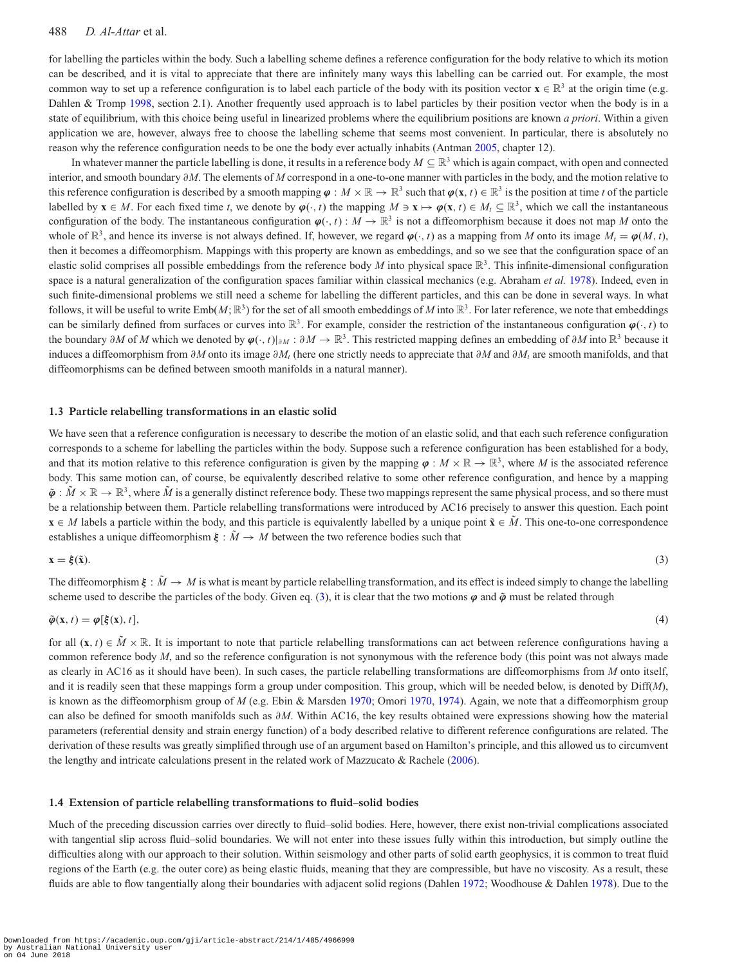for labelling the particles within the body. Such a labelling scheme defines a reference configuration for the body relative to which its motion can be described, and it is vital to appreciate that there are infinitely many ways this labelling can be carried out. For example, the most common way to set up a reference configuration is to label each particle of the body with its position vector  $\mathbf{x} \in \mathbb{R}^3$  at the origin time (e.g. Dahlen & Tromp [1998,](#page-21-1) section 2.1). Another frequently used approach is to label particles by their position vector when the body is in a state of equilibrium, with this choice being useful in linearized problems where the equilibrium positions are known *a priori*. Within a given application we are, however, always free to choose the labelling scheme that seems most convenient. In particular, there is absolutely no reason why the reference configuration needs to be one the body ever actually inhabits (Antman [2005,](#page-20-10) chapter 12).

In whatever manner the particle labelling is done, it results in a reference body  $M \subseteq \mathbb{R}^3$  which is again compact, with open and connected interior, and smooth boundary ∂*M*. The elements of *M* correspond in a one-to-one manner with particles in the body, and the motion relative to this reference configuration is described by a smooth mapping  $\varphi : M \times \mathbb{R} \to \mathbb{R}^3$  such that  $\varphi(x, t) \in \mathbb{R}^3$  is the position at time *t* of the particle labelled by  $\mathbf{x} \in M$ . For each fixed time *t*, we denote by  $\varphi(\cdot, t)$  the mapping  $M \ni \mathbf{x} \mapsto \varphi(\mathbf{x}, t) \in M_t \subseteq \mathbb{R}^3$ , which we call the instantaneous configuration of the body. The instantaneous configuration  $\varphi(\cdot,t): M \to \mathbb{R}^3$  is not a diffeomorphism because it does not map *M* onto the whole of  $\mathbb{R}^3$ , and hence its inverse is not always defined. If, however, we regard  $\varphi(\cdot, t)$  as a mapping from *M* onto its image  $M_t = \varphi(M, t)$ , then it becomes a diffeomorphism. Mappings with this property are known as embeddings, and so we see that the configuration space of an elastic solid comprises all possible embeddings from the reference body *M* into physical space  $\mathbb{R}^3$ . This infinite-dimensional configuration space is a natural generalization of the configuration spaces familiar within classical mechanics (e.g. Abraham *et al.* [1978\)](#page-20-11). Indeed, even in such finite-dimensional problems we still need a scheme for labelling the different particles, and this can be done in several ways. In what follows, it will be useful to write  $\text{Emb}(M; \mathbb{R}^3)$  for the set of all smooth embeddings of *M* into  $\mathbb{R}^3$ . For later reference, we note that embeddings can be similarly defined from surfaces or curves into  $\mathbb{R}^3$ . For example, consider the restriction of the instantaneous configuration  $\varphi(\cdot,t)$  to the boundary ∂*M* of *M* which we denoted by  $\varphi(\cdot, t)|_{\partial M}$ : ∂ $M \to \mathbb{R}^3$ . This restricted mapping defines an embedding of ∂*M* into  $\mathbb{R}^3$  because it induces a diffeomorphism from ∂*M* onto its image ∂*Mt* (here one strictly needs to appreciate that ∂*M* and ∂*Mt* are smooth manifolds, and that diffeomorphisms can be defined between smooth manifolds in a natural manner).

#### **1.3 Particle relabelling transformations in an elastic solid**

We have seen that a reference configuration is necessary to describe the motion of an elastic solid, and that each such reference configuration corresponds to a scheme for labelling the particles within the body. Suppose such a reference configuration has been established for a body, and that its motion relative to this reference configuration is given by the mapping  $\varphi : M \times \mathbb{R} \to \mathbb{R}^3$ , where *M* is the associated reference body. This same motion can, of course, be equivalently described relative to some other reference configuration, and hence by a mapping  $\tilde{\varphi}: \tilde{M} \times \mathbb{R} \to \mathbb{R}^3$ , where  $\tilde{M}$  is a generally distinct reference body. These two mappings represent the same physical process, and so there must be a relationship between them. Particle relabelling transformations were introduced by AC16 precisely to answer this question. Each point **x** ∈ *M* labels a particle within the body, and this particle is equivalently labelled by a unique point  $\tilde{\mathbf{x}} \in \tilde{M}$ . This one-to-one correspondence establishes a unique diffeomorphism  $\xi : \tilde{M} \to M$  between the two reference bodies such that

$$
\mathbf{x} = \xi(\tilde{\mathbf{x}}). \tag{3}
$$

The diffeomorphism  $\xi : \tilde{M} \to M$  is what is meant by particle relabelling transformation, and its effect is indeed simply to change the labelling scheme used to describe the particles of the body. Given eq. (3), it is clear that the two motions  $\varphi$  and  $\tilde{\varphi}$  must be related through

$$
\tilde{\boldsymbol{\varphi}}(\mathbf{x},t) = \boldsymbol{\varphi}[\xi(\mathbf{x}),t],\tag{4}
$$

for all  $(\mathbf{x}, t) \in \tilde{M} \times \mathbb{R}$ . It is important to note that particle relabelling transformations can act between reference configurations having a common reference body *M*, and so the reference configuration is not synonymous with the reference body (this point was not always made as clearly in AC16 as it should have been). In such cases, the particle relabelling transformations are diffeomorphisms from *M* onto itself, and it is readily seen that these mappings form a group under composition. This group, which will be needed below, is denoted by Diff(*M*), is known as the diffeomorphism group of *M* (e.g. Ebin & Marsden [1970;](#page-21-40) Omori [1970,](#page-21-41) [1974\)](#page-21-42). Again, we note that a diffeomorphism group can also be defined for smooth manifolds such as ∂*M*. Within AC16, the key results obtained were expressions showing how the material parameters (referential density and strain energy function) of a body described relative to different reference configurations are related. The derivation of these results was greatly simplified through use of an argument based on Hamilton's principle, and this allowed us to circumvent the lengthy and intricate calculations present in the related work of Mazzucato & Rachele [\(2006\)](#page-21-37).

## **1.4 Extension of particle relabelling transformations to fluid–solid bodies**

Much of the preceding discussion carries over directly to fluid–solid bodies. Here, however, there exist non-trivial complications associated with tangential slip across fluid–solid boundaries. We will not enter into these issues fully within this introduction, but simply outline the difficulties along with our approach to their solution. Within seismology and other parts of solid earth geophysics, it is common to treat fluid regions of the Earth (e.g. the outer core) as being elastic fluids, meaning that they are compressible, but have no viscosity. As a result, these fluids are able to flow tangentially along their boundaries with adjacent solid regions (Dahlen [1972;](#page-21-43) Woodhouse & Dahlen [1978\)](#page-22-2). Due to the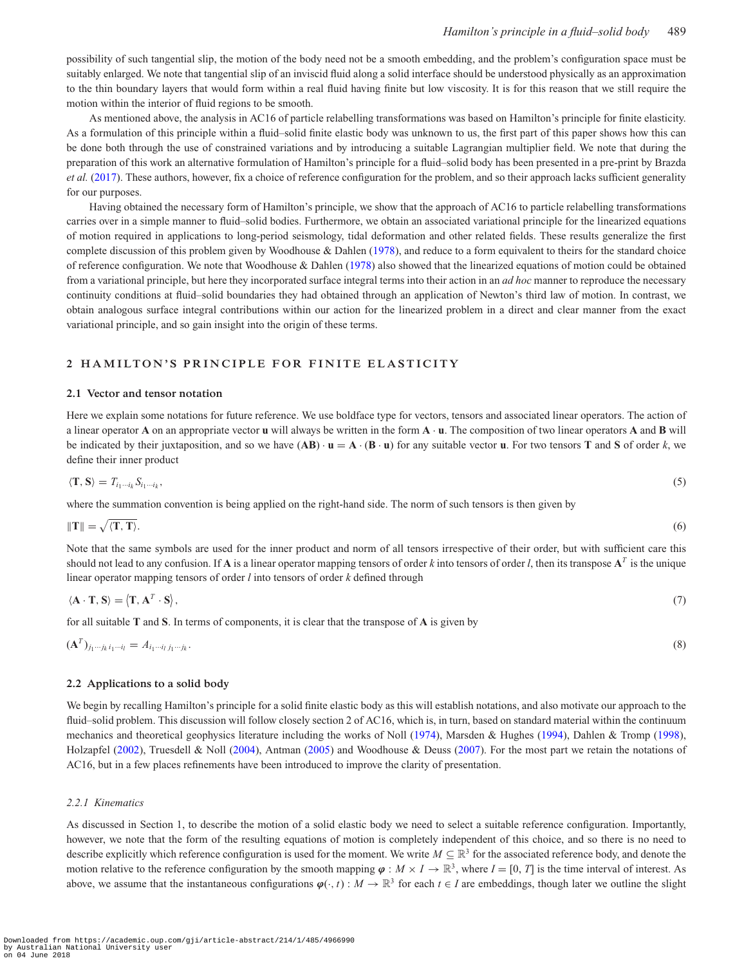possibility of such tangential slip, the motion of the body need not be a smooth embedding, and the problem's configuration space must be suitably enlarged. We note that tangential slip of an inviscid fluid along a solid interface should be understood physically as an approximation to the thin boundary layers that would form within a real fluid having finite but low viscosity. It is for this reason that we still require the motion within the interior of fluid regions to be smooth.

As mentioned above, the analysis in AC16 of particle relabelling transformations was based on Hamilton's principle for finite elasticity. As a formulation of this principle within a fluid–solid finite elastic body was unknown to us, the first part of this paper shows how this can be done both through the use of constrained variations and by introducing a suitable Lagrangian multiplier field. We note that during the preparation of this work an alternative formulation of Hamilton's principle for a fluid–solid body has been presented in a pre-print by Brazda *et al.* [\(2017\)](#page-20-12). These authors, however, fix a choice of reference configuration for the problem, and so their approach lacks sufficient generality for our purposes.

Having obtained the necessary form of Hamilton's principle, we show that the approach of AC16 to particle relabelling transformations carries over in a simple manner to fluid–solid bodies. Furthermore, we obtain an associated variational principle for the linearized equations of motion required in applications to long-period seismology, tidal deformation and other related fields. These results generalize the first complete discussion of this problem given by Woodhouse & Dahlen [\(1978\)](#page-22-2), and reduce to a form equivalent to theirs for the standard choice of reference configuration. We note that Woodhouse & Dahlen [\(1978\)](#page-22-2) also showed that the linearized equations of motion could be obtained from a variational principle, but here they incorporated surface integral terms into their action in an *ad hoc* manner to reproduce the necessary continuity conditions at fluid–solid boundaries they had obtained through an application of Newton's third law of motion. In contrast, we obtain analogous surface integral contributions within our action for the linearized problem in a direct and clear manner from the exact variational principle, and so gain insight into the origin of these terms.

# **2 HAMILTON'S PRINCIPLE FOR FINITE ELASTICITY**

#### **2.1 Vector and tensor notation**

Here we explain some notations for future reference. We use boldface type for vectors, tensors and associated linear operators. The action of a linear operator **A** on an appropriate vector **u** will always be written in the form **A** · **u**. The composition of two linear operators **A** and **B** will be indicated by their juxtaposition, and so we have  $(AB) \cdot u = A \cdot (B \cdot u)$  for any suitable vector **u**. For two tensors **T** and **S** of order *k*, we define their inner product

$$
\langle \mathbf{T}, \mathbf{S} \rangle = T_{i_1 \cdots i_k} S_{i_1 \cdots i_k},\tag{5}
$$

where the summation convention is being applied on the right-hand side. The norm of such tensors is then given by

$$
\|\mathbf{T}\| = \sqrt{\langle \mathbf{T}, \mathbf{T} \rangle}.\tag{6}
$$

Note that the same symbols are used for the inner product and norm of all tensors irrespective of their order, but with sufficient care this should not lead to any confusion. If **A** is a linear operator mapping tensors of order *k* into tensors of order *l*, then its transpose  $A<sup>T</sup>$  is the unique linear operator mapping tensors of order *l* into tensors of order *k* defined through

$$
\langle \mathbf{A} \cdot \mathbf{T}, \mathbf{S} \rangle = \langle \mathbf{T}, \mathbf{A}^T \cdot \mathbf{S} \rangle, \tag{7}
$$

for all suitable **T** and **S**. In terms of components, it is clear that the transpose of **A** is given by

$$
(\mathbf{A}^T)_{j_1\cdots j_k\,i_1\cdots i_l} = A_{i_1\cdots i_l\,j_1\cdots j_k}.\tag{8}
$$

#### **2.2 Applications to a solid body**

We begin by recalling Hamilton's principle for a solid finite elastic body as this will establish notations, and also motivate our approach to the fluid–solid problem. This discussion will follow closely section 2 of AC16, which is, in turn, based on standard material within the continuum mechanics and theoretical geophysics literature including the works of Noll [\(1974\)](#page-21-44), Marsden & Hughes [\(1994\)](#page-21-45), Dahlen & Tromp [\(1998\)](#page-21-1), Holzapfel [\(2002\)](#page-21-46), Truesdell & Noll [\(2004\)](#page-22-12), Antman [\(2005\)](#page-20-10) and Woodhouse & Deuss [\(2007\)](#page-22-13). For the most part we retain the notations of AC16, but in a few places refinements have been introduced to improve the clarity of presentation.

## *2.2.1 Kinematics*

As discussed in Section 1, to describe the motion of a solid elastic body we need to select a suitable reference configuration. Importantly, however, we note that the form of the resulting equations of motion is completely independent of this choice, and so there is no need to describe explicitly which reference configuration is used for the moment. We write  $M \subseteq \mathbb{R}^3$  for the associated reference body, and denote the motion relative to the reference configuration by the smooth mapping  $\varphi : M \times I \to \mathbb{R}^3$ , where  $I = [0, T]$  is the time interval of interest. As above, we assume that the instantaneous configurations  $\varphi(\cdot, t) : M \to \mathbb{R}^3$  for each  $t \in I$  are embeddings, though later we outline the slight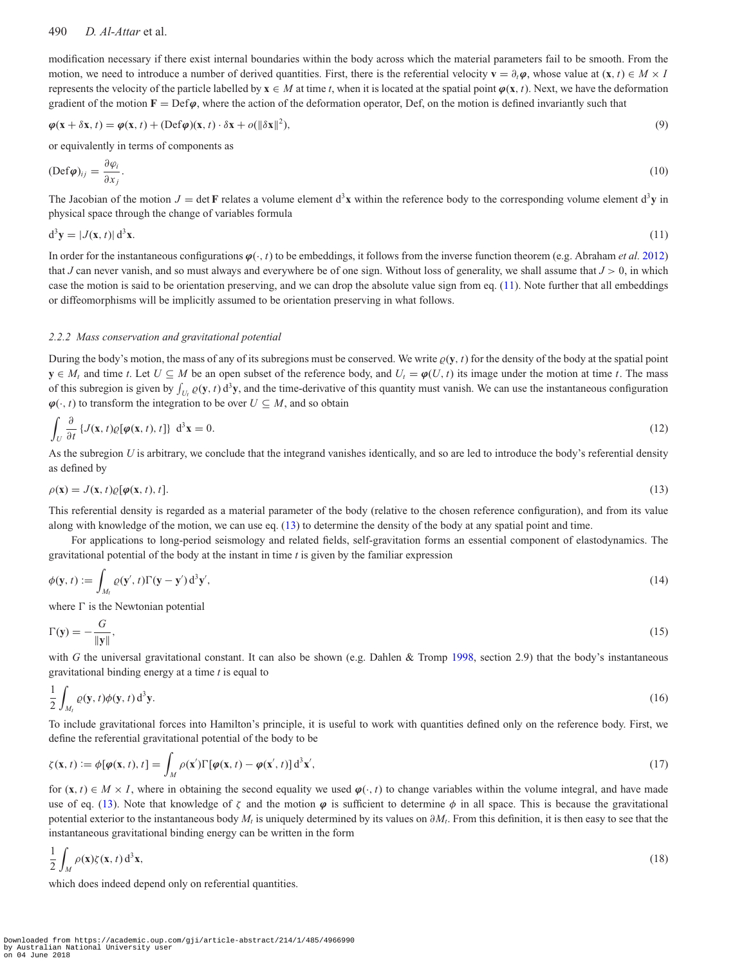modification necessary if there exist internal boundaries within the body across which the material parameters fail to be smooth. From the motion, we need to introduce a number of derived quantities. First, there is the referential velocity  $\mathbf{v} = \partial_t \varphi$ , whose value at  $(\mathbf{x}, t) \in M \times I$ represents the velocity of the particle labelled by  $\mathbf{x} \in M$  at time *t*, when it is located at the spatial point  $\varphi(\mathbf{x}, t)$ . Next, we have the deformation gradient of the motion  $\mathbf{F} = \mathbf{Def}\varphi$ , where the action of the deformation operator, Def, on the motion is defined invariantly such that

$$
\boldsymbol{\varphi}(\mathbf{x} + \delta \mathbf{x}, t) = \boldsymbol{\varphi}(\mathbf{x}, t) + (\mathrm{Def}\boldsymbol{\varphi})(\mathbf{x}, t) \cdot \delta \mathbf{x} + o(\delta \mathbf{x})^2),\tag{9}
$$

or equivalently in terms of components as

$$
(\text{Def}\varphi)_{ij} = \frac{\partial \varphi_i}{\partial x_j}.
$$
\n(10)

The Jacobian of the motion  $J = \det \mathbf{F}$  relates a volume element  $d^3\mathbf{x}$  within the reference body to the corresponding volume element  $d^3\mathbf{v}$  in physical space through the change of variables formula

$$
d^3y = |J(x, t)| d^3x. \tag{11}
$$

In order for the instantaneous configurations *ϕ*(·, *t*) to be embeddings, it follows from the inverse function theorem (e.g. Abraham *et al.* [2012\)](#page-20-9) that *J* can never vanish, and so must always and everywhere be of one sign. Without loss of generality, we shall assume that *J* > 0, in which case the motion is said to be orientation preserving, and we can drop the absolute value sign from eq. (11). Note further that all embeddings or diffeomorphisms will be implicitly assumed to be orientation preserving in what follows.

#### *2.2.2 Mass conservation and gravitational potential*

During the body's motion, the mass of any of its subregions must be conserved. We write  $\rho(y, t)$  for the density of the body at the spatial point **y** ∈ *M*<sub>t</sub> and time *t*. Let *U* ⊆ *M* be an open subset of the reference body, and  $U_t = \varphi(U, t)$  its image under the motion at time *t*. The mass of this subregion is given by  $\int_{U_t} \rho(\mathbf{y}, t) d^3 \mathbf{y}$ , and the time-derivative of this quantity must vanish. We can use the instantaneous configuration  $\varphi(\cdot, t)$  to transform the integration to be over  $U \subseteq M$ , and so obtain

$$
\int_{U} \frac{\partial}{\partial t} \left\{ J(\mathbf{x}, t) \varrho [\varphi(\mathbf{x}, t), t] \right\} d^{3} \mathbf{x} = 0.
$$
\n(12)

As the subregion *U* is arbitrary, we conclude that the integrand vanishes identically, and so are led to introduce the body's referential density as defined by

$$
\rho(\mathbf{x}) = J(\mathbf{x}, t)\rho[\varphi(\mathbf{x}, t), t].
$$
\n(13)

This referential density is regarded as a material parameter of the body (relative to the chosen reference configuration), and from its value along with knowledge of the motion, we can use eq. (13) to determine the density of the body at any spatial point and time.

For applications to long-period seismology and related fields, self-gravitation forms an essential component of elastodynamics. The gravitational potential of the body at the instant in time *t* is given by the familiar expression

$$
\phi(\mathbf{y},t) := \int_{M_t} \varrho(\mathbf{y}',t) \Gamma(\mathbf{y}-\mathbf{y}') \, \mathrm{d}^3 \mathbf{y}',\tag{14}
$$

where  $\Gamma$  is the Newtonian potential

$$
\Gamma(y) = -\frac{G}{\|y\|},\tag{15}
$$

with *G* the universal gravitational constant. It can also be shown (e.g. Dahlen & Tromp [1998,](#page-21-1) section 2.9) that the body's instantaneous gravitational binding energy at a time *t* is equal to

$$
\frac{1}{2} \int_{M_l} \varrho(\mathbf{y}, t) \phi(\mathbf{y}, t) d^3 \mathbf{y}.\tag{16}
$$

To include gravitational forces into Hamilton's principle, it is useful to work with quantities defined only on the reference body. First, we define the referential gravitational potential of the body to be

$$
\zeta(\mathbf{x},t) := \phi[\varphi(\mathbf{x},t),t] = \int_M \rho(\mathbf{x}') \Gamma[\varphi(\mathbf{x},t) - \varphi(\mathbf{x}',t)] \, d^3 \mathbf{x}',\tag{17}
$$

for  $(\mathbf{x}, t) \in M \times I$ , where in obtaining the second equality we used  $\varphi(\cdot, t)$  to change variables within the volume integral, and have made use of eq. (13). Note that knowledge of  $\zeta$  and the motion  $\varphi$  is sufficient to determine  $\phi$  in all space. This is because the gravitational potential exterior to the instantaneous body  $M_t$  is uniquely determined by its values on  $\partial M_t$ . From this definition, it is then easy to see that the instantaneous gravitational binding energy can be written in the form

$$
\frac{1}{2} \int_M \rho(\mathbf{x}) \zeta(\mathbf{x}, t) \, \mathrm{d}^3 \mathbf{x},\tag{18}
$$

which does indeed depend only on referential quantities.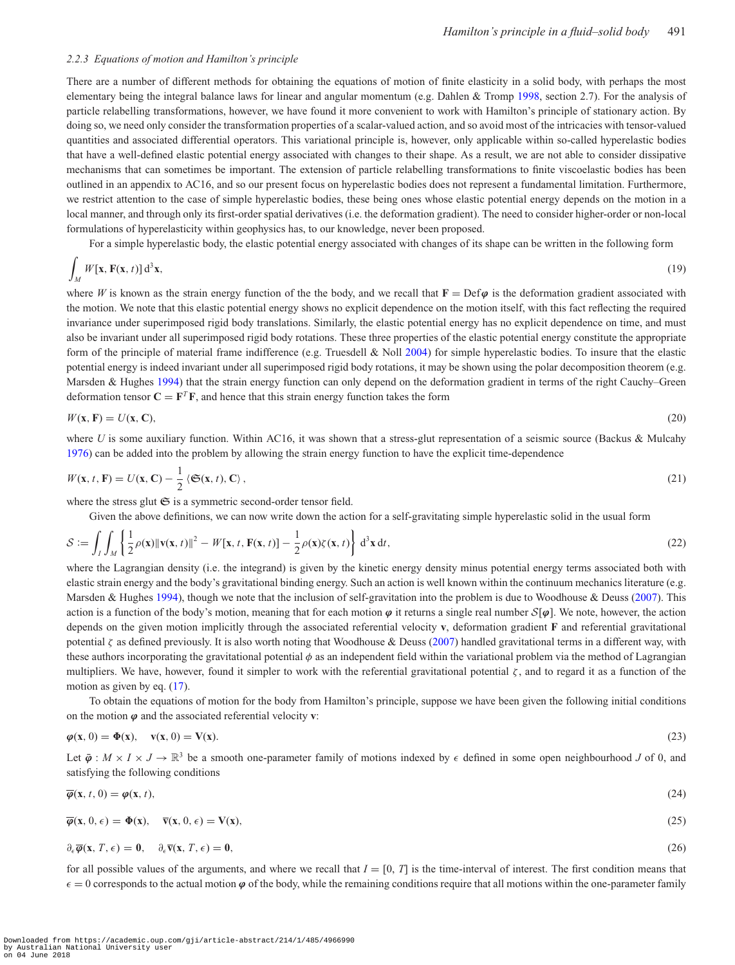#### *2.2.3 Equations of motion and Hamilton's principle*

There are a number of different methods for obtaining the equations of motion of finite elasticity in a solid body, with perhaps the most elementary being the integral balance laws for linear and angular momentum (e.g. Dahlen & Tromp [1998,](#page-21-1) section 2.7). For the analysis of particle relabelling transformations, however, we have found it more convenient to work with Hamilton's principle of stationary action. By doing so, we need only consider the transformation properties of a scalar-valued action, and so avoid most of the intricacies with tensor-valued quantities and associated differential operators. This variational principle is, however, only applicable within so-called hyperelastic bodies that have a well-defined elastic potential energy associated with changes to their shape. As a result, we are not able to consider dissipative mechanisms that can sometimes be important. The extension of particle relabelling transformations to finite viscoelastic bodies has been outlined in an appendix to AC16, and so our present focus on hyperelastic bodies does not represent a fundamental limitation. Furthermore, we restrict attention to the case of simple hyperelastic bodies, these being ones whose elastic potential energy depends on the motion in a local manner, and through only its first-order spatial derivatives (i.e. the deformation gradient). The need to consider higher-order or non-local formulations of hyperelasticity within geophysics has, to our knowledge, never been proposed.

For a simple hyperelastic body, the elastic potential energy associated with changes of its shape can be written in the following form

$$
\int_M W[\mathbf{x}, \mathbf{F}(\mathbf{x}, t)] \, \mathrm{d}^3 \mathbf{x},\tag{19}
$$

where *W* is known as the strain energy function of the the body, and we recall that  $\mathbf{F} = \mathrm{Def}\varphi$  is the deformation gradient associated with the motion. We note that this elastic potential energy shows no explicit dependence on the motion itself, with this fact reflecting the required invariance under superimposed rigid body translations. Similarly, the elastic potential energy has no explicit dependence on time, and must also be invariant under all superimposed rigid body rotations. These three properties of the elastic potential energy constitute the appropriate form of the principle of material frame indifference (e.g. Truesdell  $\&$  Noll [2004\)](#page-22-12) for simple hyperelastic bodies. To insure that the elastic potential energy is indeed invariant under all superimposed rigid body rotations, it may be shown using the polar decomposition theorem (e.g. Marsden & Hughes [1994\)](#page-21-45) that the strain energy function can only depend on the deformation gradient in terms of the right Cauchy–Green deformation tensor  $C = F^T F$ , and hence that this strain energy function takes the form

$$
W(\mathbf{x}, \mathbf{F}) = U(\mathbf{x}, \mathbf{C}),\tag{20}
$$

where *U* is some auxiliary function. Within AC16, it was shown that a stress-glut representation of a seismic source (Backus & Mulcahy [1976\)](#page-20-13) can be added into the problem by allowing the strain energy function to have the explicit time-dependence

$$
W(\mathbf{x}, t, \mathbf{F}) = U(\mathbf{x}, \mathbf{C}) - \frac{1}{2} \langle \mathfrak{S}(\mathbf{x}, t), \mathbf{C} \rangle, \qquad (21)
$$

where the stress glut  $\mathfrak S$  is a symmetric second-order tensor field.

Given the above definitions, we can now write down the action for a self-gravitating simple hyperelastic solid in the usual form

$$
\mathcal{S} := \int_{I} \int_{M} \left\{ \frac{1}{2} \rho(\mathbf{x}) \|\mathbf{v}(\mathbf{x}, t)\|^{2} - W[\mathbf{x}, t, \mathbf{F}(\mathbf{x}, t)] - \frac{1}{2} \rho(\mathbf{x}) \zeta(\mathbf{x}, t) \right\} d^{3} \mathbf{x} dt,
$$
\n(22)

where the Lagrangian density (i.e. the integrand) is given by the kinetic energy density minus potential energy terms associated both with elastic strain energy and the body's gravitational binding energy. Such an action is well known within the continuum mechanics literature (e.g. Marsden & Hughes [1994\)](#page-21-45), though we note that the inclusion of self-gravitation into the problem is due to Woodhouse & Deuss [\(2007\)](#page-22-13). This action is a function of the body's motion, meaning that for each motion  $\varphi$  it returns a single real number  $S[\varphi]$ . We note, however, the action depends on the given motion implicitly through the associated referential velocity **v**, deformation gradient **F** and referential gravitational potential  $\zeta$  as defined previously. It is also worth noting that Woodhouse & Deuss [\(2007\)](#page-22-13) handled gravitational terms in a different way, with these authors incorporating the gravitational potential  $\phi$  as an independent field within the variational problem via the method of Lagrangian multipliers. We have, however, found it simpler to work with the referential gravitational potential  $\zeta$ , and to regard it as a function of the motion as given by eq. (17).

To obtain the equations of motion for the body from Hamilton's principle, suppose we have been given the following initial conditions on the motion  $\varphi$  and the associated referential velocity **v**:

$$
\varphi(\mathbf{x},0) = \Phi(\mathbf{x}), \quad \mathbf{v}(\mathbf{x},0) = \mathbf{V}(\mathbf{x}). \tag{23}
$$

Let  $\bar{\varphi}: M \times I \times J \to \mathbb{R}^3$  be a smooth one-parameter family of motions indexed by  $\epsilon$  defined in some open neighbourhood *J* of 0, and satisfying the following conditions

$$
\overline{\varphi}(\mathbf{x}, t, 0) = \varphi(\mathbf{x}, t),\tag{24}
$$

$$
\overline{\varphi}(\mathbf{x},0,\epsilon) = \Phi(\mathbf{x}), \quad \overline{\mathbf{v}}(\mathbf{x},0,\epsilon) = \mathbf{V}(\mathbf{x}), \tag{25}
$$

$$
\partial_{\epsilon}\overline{\varphi}(\mathbf{x},T,\epsilon) = \mathbf{0}, \quad \partial_{\epsilon}\overline{\mathbf{v}}(\mathbf{x},T,\epsilon) = \mathbf{0},\tag{26}
$$

for all possible values of the arguments, and where we recall that  $I = [0, T]$  is the time-interval of interest. The first condition means that  $\epsilon = 0$  corresponds to the actual motion  $\varphi$  of the body, while the remaining conditions require that all motions within the one-parameter family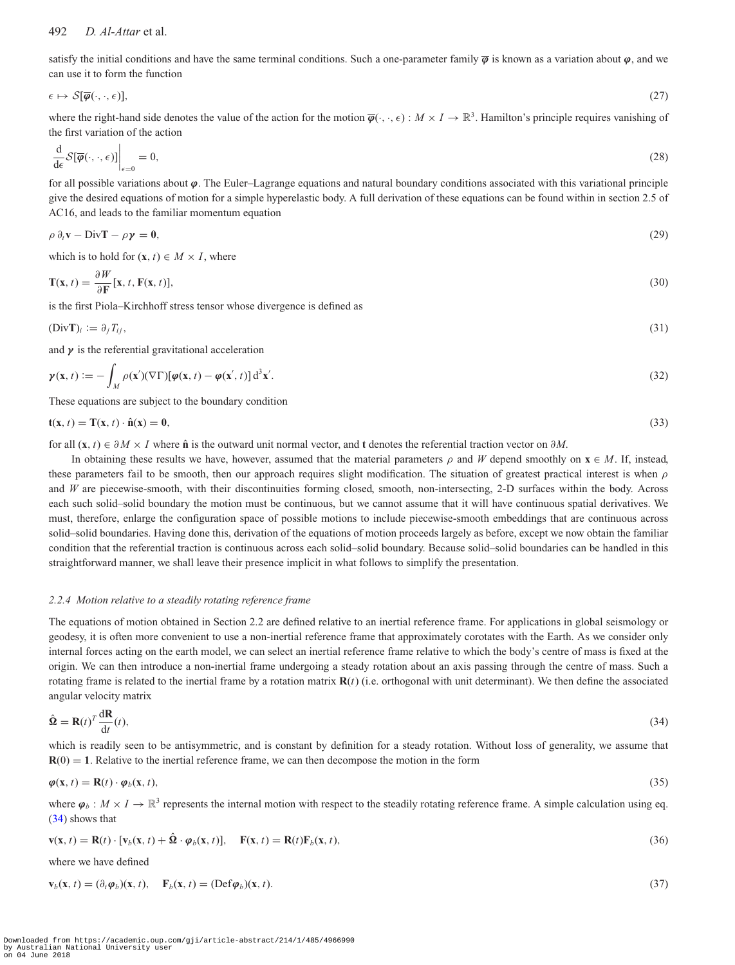satisfy the initial conditions and have the same terminal conditions. Such a one-parameter family  $\bar{\varphi}$  is known as a variation about  $\varphi$ , and we can use it to form the function

$$
\epsilon \mapsto \mathcal{S}[\overline{\varphi}(\cdot,\cdot,\epsilon)],\tag{27}
$$

where the right-hand side denotes the value of the action for the motion  $\overline{\varphi}(\cdot, \cdot, \epsilon)$  :  $M \times I \to \mathbb{R}^3$ . Hamilton's principle requires vanishing of the first variation of the action

$$
\frac{\mathrm{d}}{\mathrm{d}\epsilon} \mathcal{S}[\overline{\varphi}(\cdot,\cdot,\epsilon)]\bigg|_{\epsilon=0} = 0,\tag{28}
$$

for all possible variations about *ϕ*. The Euler–Lagrange equations and natural boundary conditions associated with this variational principle give the desired equations of motion for a simple hyperelastic body. A full derivation of these equations can be found within in section 2.5 of AC16, and leads to the familiar momentum equation

$$
\rho \, \partial_t \mathbf{v} - \mathbf{Div} \mathbf{T} - \rho \mathbf{y} = \mathbf{0},\tag{29}
$$

which is to hold for  $(\mathbf{x}, t) \in M \times I$ , where

$$
\mathbf{T}(\mathbf{x},t) = \frac{\partial W}{\partial \mathbf{F}}[\mathbf{x},t,\mathbf{F}(\mathbf{x},t)],
$$
\n(30)

is the first Piola–Kirchhoff stress tensor whose divergence is defined as

$$
(\text{Div} \mathbf{T})_i := \partial_j T_{ij},\tag{31}
$$

and  $\gamma$  is the referential gravitational acceleration

$$
\mathbf{y}(\mathbf{x},t) := -\int_M \rho(\mathbf{x}')(\nabla \Gamma)[\varphi(\mathbf{x},t) - \varphi(\mathbf{x}',t)] \, \mathrm{d}^3 \mathbf{x}'.\tag{32}
$$

These equations are subject to the boundary condition

$$
\mathbf{t}(\mathbf{x},t) = \mathbf{T}(\mathbf{x},t) \cdot \hat{\mathbf{n}}(\mathbf{x}) = \mathbf{0},\tag{33}
$$

for all  $(x, t) \in \partial M \times I$  where  $\hat{\mathbf{n}}$  is the outward unit normal vector, and **t** denotes the referential traction vector on  $\partial M$ .

In obtaining these results we have, however, assumed that the material parameters  $\rho$  and *W* depend smoothly on **x**  $\in$  *M*. If, instead, these parameters fail to be smooth, then our approach requires slight modification. The situation of greatest practical interest is when  $\rho$ and *W* are piecewise-smooth, with their discontinuities forming closed, smooth, non-intersecting, 2-D surfaces within the body. Across each such solid–solid boundary the motion must be continuous, but we cannot assume that it will have continuous spatial derivatives. We must, therefore, enlarge the configuration space of possible motions to include piecewise-smooth embeddings that are continuous across solid–solid boundaries. Having done this, derivation of the equations of motion proceeds largely as before, except we now obtain the familiar condition that the referential traction is continuous across each solid–solid boundary. Because solid–solid boundaries can be handled in this straightforward manner, we shall leave their presence implicit in what follows to simplify the presentation.

#### *2.2.4 Motion relative to a steadily rotating reference frame*

The equations of motion obtained in Section 2.2 are defined relative to an inertial reference frame. For applications in global seismology or geodesy, it is often more convenient to use a non-inertial reference frame that approximately corotates with the Earth. As we consider only internal forces acting on the earth model, we can select an inertial reference frame relative to which the body's centre of mass is fixed at the origin. We can then introduce a non-inertial frame undergoing a steady rotation about an axis passing through the centre of mass. Such a rotating frame is related to the inertial frame by a rotation matrix **R**(*t*) (i.e. orthogonal with unit determinant). We then define the associated angular velocity matrix

$$
\hat{\mathbf{\Omega}} = \mathbf{R}(t)^T \frac{d\mathbf{R}}{dt}(t),\tag{34}
$$

which is readily seen to be antisymmetric, and is constant by definition for a steady rotation. Without loss of generality, we assume that  $R(0) = 1$ . Relative to the inertial reference frame, we can then decompose the motion in the form

$$
\varphi(\mathbf{x},t) = \mathbf{R}(t) \cdot \varphi_b(\mathbf{x},t),\tag{35}
$$

where  $\varphi_b : M \times I \to \mathbb{R}^3$  represents the internal motion with respect to the steadily rotating reference frame. A simple calculation using eq. (34) shows that

$$
\mathbf{v}(\mathbf{x},t) = \mathbf{R}(t) \cdot [\mathbf{v}_b(\mathbf{x},t) + \hat{\mathbf{\Omega}} \cdot \boldsymbol{\varphi}_b(\mathbf{x},t)], \quad \mathbf{F}(\mathbf{x},t) = \mathbf{R}(t)\mathbf{F}_b(\mathbf{x},t),
$$
\n(36)

where we have defined

$$
\mathbf{v}_b(\mathbf{x},t) = (\partial_t \boldsymbol{\varphi}_b)(\mathbf{x},t), \quad \mathbf{F}_b(\mathbf{x},t) = (\mathrm{Def}\boldsymbol{\varphi}_b)(\mathbf{x},t). \tag{37}
$$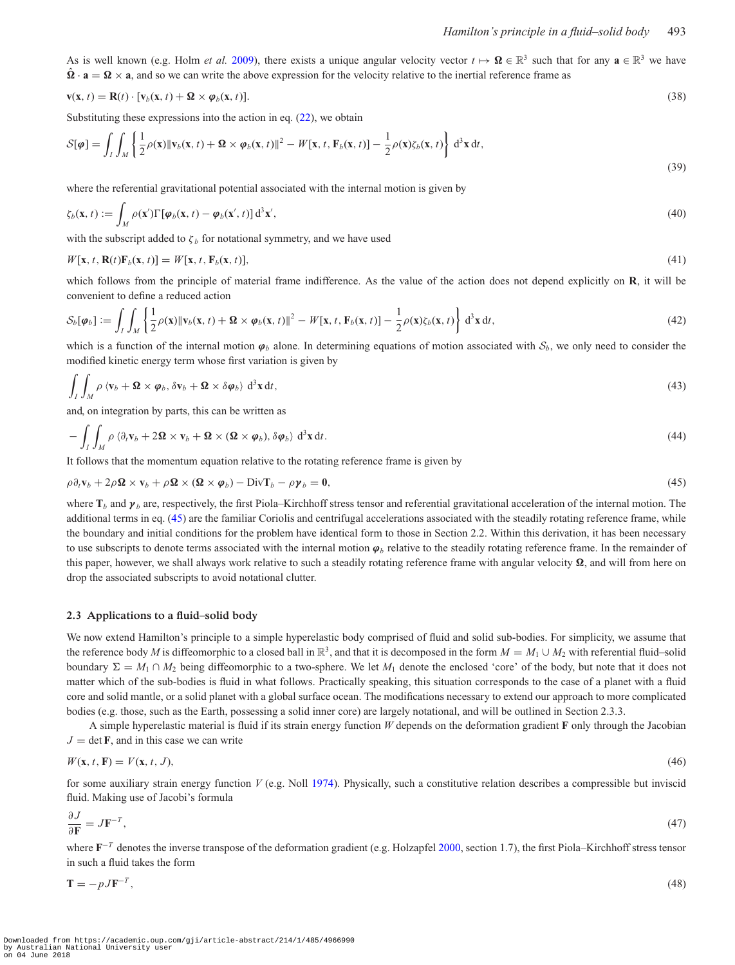As is well known (e.g. Holm *et al.* [2009\)](#page-21-47), there exists a unique angular velocity vector  $t \mapsto \Omega \in \mathbb{R}^3$  such that for any  $a \in \mathbb{R}^3$  we have  $\hat{\Omega} \cdot \mathbf{a} = \Omega \times \mathbf{a}$ , and so we can write the above expression for the velocity relative to the inertial reference frame as

$$
\mathbf{v}(\mathbf{x},t) = \mathbf{R}(t) \cdot [\mathbf{v}_b(\mathbf{x},t) + \mathbf{\Omega} \times \boldsymbol{\varphi}_b(\mathbf{x},t)].
$$
\n(38)

Substituting these expressions into the action in eq. (22), we obtain

$$
\mathcal{S}[\varphi] = \int_{I} \int_{M} \left\{ \frac{1}{2} \rho(\mathbf{x}) \|\mathbf{v}_{b}(\mathbf{x},t) + \mathbf{\Omega} \times \varphi_{b}(\mathbf{x},t)\|^{2} - W[\mathbf{x},t,\mathbf{F}_{b}(\mathbf{x},t)] - \frac{1}{2} \rho(\mathbf{x}) \zeta_{b}(\mathbf{x},t) \right\} d^{3} \mathbf{x} dt,
$$
\n(39)

where the referential gravitational potential associated with the internal motion is given by

$$
\zeta_b(\mathbf{x},t) := \int_M \rho(\mathbf{x}') \Gamma[\boldsymbol{\varphi}_b(\mathbf{x},t) - \boldsymbol{\varphi}_b(\mathbf{x}',t)] \, \mathrm{d}^3 \mathbf{x}',\tag{40}
$$

with the subscript added to  $\zeta_h$  for notational symmetry, and we have used

$$
W[\mathbf{x}, t, \mathbf{R}(t)\mathbf{F}_b(\mathbf{x}, t)] = W[\mathbf{x}, t, \mathbf{F}_b(\mathbf{x}, t)],
$$
\n(41)

which follows from the principle of material frame indifference. As the value of the action does not depend explicitly on **R**, it will be convenient to define a reduced action

$$
\mathcal{S}_b[\varphi_b] := \int_I \int_M \left\{ \frac{1}{2} \rho(\mathbf{x}) \|\mathbf{v}_b(\mathbf{x}, t) + \mathbf{\Omega} \times \varphi_b(\mathbf{x}, t)\|^2 - W[\mathbf{x}, t, \mathbf{F}_b(\mathbf{x}, t)] - \frac{1}{2} \rho(\mathbf{x}) \zeta_b(\mathbf{x}, t) \right\} d^3 \mathbf{x} dt,
$$
\n(42)

which is a function of the internal motion  $\varphi_b$  alone. In determining equations of motion associated with  $S_b$ , we only need to consider the modified kinetic energy term whose first variation is given by

$$
\int_{I} \int_{M} \rho \left\langle \mathbf{v}_{b} + \mathbf{\Omega} \times \boldsymbol{\varphi}_{b}, \delta \mathbf{v}_{b} + \mathbf{\Omega} \times \delta \boldsymbol{\varphi}_{b} \right\rangle d^{3} \mathbf{x} dt,
$$
\n(43)

and, on integration by parts, this can be written as

$$
-\int_{I}\int_{M}\rho\left(\partial_{t}\mathbf{v}_{b}+2\mathbf{\Omega}\times\mathbf{v}_{b}+\mathbf{\Omega}\times(\mathbf{\Omega}\times\boldsymbol{\varphi}_{b}),\delta\boldsymbol{\varphi}_{b}\right)\,d^{3}\mathbf{x}\,dt.
$$
\n(44)

It follows that the momentum equation relative to the rotating reference frame is given by

$$
\rho \partial_t \mathbf{v}_b + 2\rho \mathbf{\Omega} \times \mathbf{v}_b + \rho \mathbf{\Omega} \times (\mathbf{\Omega} \times \boldsymbol{\varphi}_b) - \text{Div} \mathbf{T}_b - \rho \mathbf{y}_b = \mathbf{0},\tag{45}
$$

where  $\mathbf{T}_b$  and  $\mathbf{y}_b$  are, respectively, the first Piola–Kirchhoff stress tensor and referential gravitational acceleration of the internal motion. The additional terms in eq. (45) are the familiar Coriolis and centrifugal accelerations associated with the steadily rotating reference frame, while the boundary and initial conditions for the problem have identical form to those in Section 2.2. Within this derivation, it has been necessary to use subscripts to denote terms associated with the internal motion  $\varphi_b$  relative to the steadily rotating reference frame. In the remainder of this paper, however, we shall always work relative to such a steadily rotating reference frame with angular velocity  $\Omega$ , and will from here on drop the associated subscripts to avoid notational clutter.

#### **2.3 Applications to a fluid–solid body**

We now extend Hamilton's principle to a simple hyperelastic body comprised of fluid and solid sub-bodies. For simplicity, we assume that the reference body *M* is diffeomorphic to a closed ball in  $\mathbb{R}^3$ , and that it is decomposed in the form  $M = M_1 \cup M_2$  with referential fluid–solid boundary  $\Sigma = M_1 \cap M_2$  being diffeomorphic to a two-sphere. We let  $M_1$  denote the enclosed 'core' of the body, but note that it does not matter which of the sub-bodies is fluid in what follows. Practically speaking, this situation corresponds to the case of a planet with a fluid core and solid mantle, or a solid planet with a global surface ocean. The modifications necessary to extend our approach to more complicated bodies (e.g. those, such as the Earth, possessing a solid inner core) are largely notational, and will be outlined in Section 2.3.3.

A simple hyperelastic material is fluid if its strain energy function *W* depends on the deformation gradient **F** only through the Jacobian  $J = \det F$ , and in this case we can write

$$
W(\mathbf{x}, t, \mathbf{F}) = V(\mathbf{x}, t, J),\tag{46}
$$

for some auxiliary strain energy function *V* (e.g. Noll [1974\)](#page-21-44). Physically, such a constitutive relation describes a compressible but inviscid fluid. Making use of Jacobi's formula

$$
\frac{\partial J}{\partial \mathbf{F}} = J\mathbf{F}^{-T},\tag{47}
$$

where **F**<sup>−*T*</sup> denotes the inverse transpose of the deformation gradient (e.g. Holzapfel [2000,](#page-21-48) section 1.7), the first Piola–Kirchhoff stress tensor in such a fluid takes the form

$$
\mathbf{T} = -pJ\mathbf{F}^{-T},\tag{48}
$$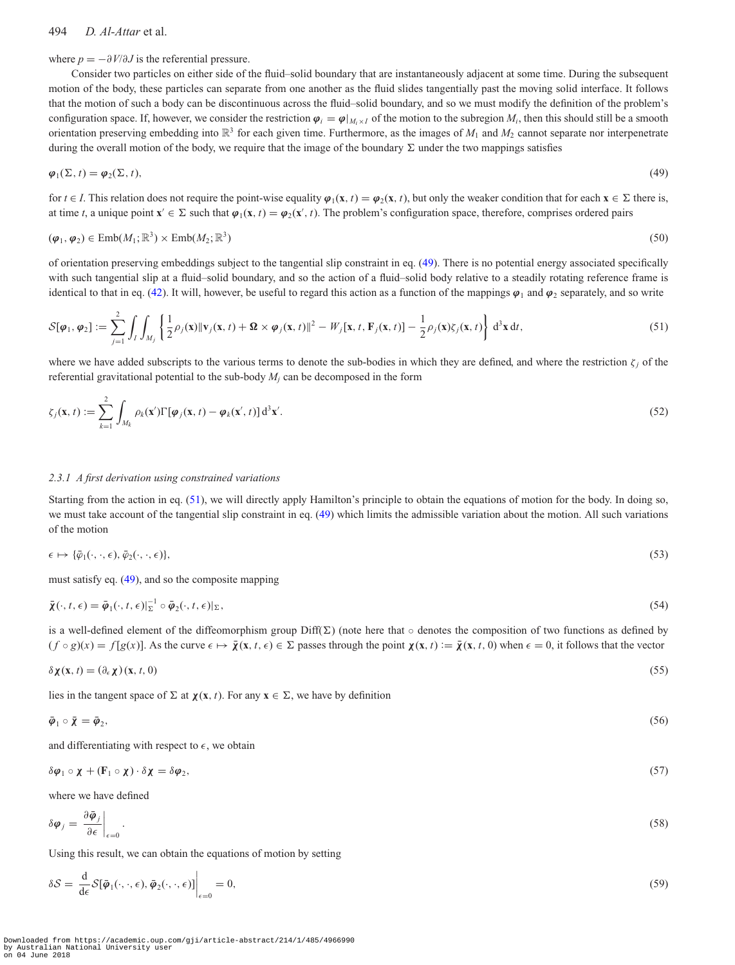where  $p = -\partial V/\partial J$  is the referential pressure.

Consider two particles on either side of the fluid–solid boundary that are instantaneously adjacent at some time. During the subsequent motion of the body, these particles can separate from one another as the fluid slides tangentially past the moving solid interface. It follows that the motion of such a body can be discontinuous across the fluid–solid boundary, and so we must modify the definition of the problem's configuration space. If, however, we consider the restriction  $\varphi_i = \varphi|_{M \times I}$  of the motion to the subregion  $M_i$ , then this should still be a smooth orientation preserving embedding into  $\mathbb{R}^3$  for each given time. Furthermore, as the images of  $M_1$  and  $M_2$  cannot separate nor interpenetrate during the overall motion of the body, we require that the image of the boundary  $\Sigma$  under the two mappings satisfies

$$
\varphi_1(\Sigma, t) = \varphi_2(\Sigma, t), \tag{49}
$$

for  $t \in I$ . This relation does not require the point-wise equality  $\varphi_1(\mathbf{x}, t) = \varphi_2(\mathbf{x}, t)$ , but only the weaker condition that for each  $\mathbf{x} \in \Sigma$  there is, at time *t*, a unique point  $\mathbf{x}' \in \Sigma$  such that  $\varphi_1(\mathbf{x}, t) = \varphi_2(\mathbf{x}', t)$ . The problem's configuration space, therefore, comprises ordered pairs

$$
(\varphi_1, \varphi_2) \in \text{Emb}(M_1; \mathbb{R}^3) \times \text{Emb}(M_2; \mathbb{R}^3)
$$
\n
$$
(50)
$$

of orientation preserving embeddings subject to the tangential slip constraint in eq. (49). There is no potential energy associated specifically with such tangential slip at a fluid–solid boundary, and so the action of a fluid–solid body relative to a steadily rotating reference frame is identical to that in eq. (42). It will, however, be useful to regard this action as a function of the mappings  $\varphi_1$  and  $\varphi_2$  separately, and so write

$$
\mathcal{S}[\varphi_1, \varphi_2] := \sum_{j=1}^2 \int_I \int_{M_j} \left\{ \frac{1}{2} \rho_j(\mathbf{x}) \|\mathbf{v}_j(\mathbf{x}, t) + \mathbf{\Omega} \times \varphi_j(\mathbf{x}, t)\|^2 - W_j[\mathbf{x}, t, \mathbf{F}_j(\mathbf{x}, t)] - \frac{1}{2} \rho_j(\mathbf{x}) \zeta_j(\mathbf{x}, t) \right\} d^3 \mathbf{x} dt,
$$
\n(51)

where we have added subscripts to the various terms to denote the sub-bodies in which they are defined, and where the restriction  $\zeta_i$  of the referential gravitational potential to the sub-body  $M_i$  can be decomposed in the form

$$
\zeta_j(\mathbf{x},t) := \sum_{k=1}^2 \int_{M_k} \rho_k(\mathbf{x}') \Gamma[\boldsymbol{\varphi}_j(\mathbf{x},t) - \boldsymbol{\varphi}_k(\mathbf{x}',t)] \, d^3 \mathbf{x}'. \tag{52}
$$

#### *2.3.1 A first derivation using constrained variations*

Starting from the action in eq. (51), we will directly apply Hamilton's principle to obtain the equations of motion for the body. In doing so, we must take account of the tangential slip constraint in eq. (49) which limits the admissible variation about the motion. All such variations of the motion

$$
\epsilon \mapsto \{\bar{\varphi}_1(\cdot,\cdot,\epsilon), \bar{\varphi}_2(\cdot,\cdot,\epsilon)\},\tag{53}
$$

must satisfy eq. (49), and so the composite mapping

$$
\bar{\chi}(\cdot, t, \epsilon) = \bar{\varphi}_1(\cdot, t, \epsilon)|_{\Sigma}^{-1} \circ \bar{\varphi}_2(\cdot, t, \epsilon)|_{\Sigma},\tag{54}
$$

is a well-defined element of the diffeomorphism group Diff( $\Sigma$ ) (note here that  $\circ$  denotes the composition of two functions as defined by  $(f \circ g)(x) = f[g(x)]$ . As the curve  $\epsilon \mapsto \bar{\chi}(x, t, \epsilon) \in \Sigma$  passes through the point  $\chi(x, t) := \bar{\chi}(x, t, 0)$  when  $\epsilon = 0$ , it follows that the vector

$$
\delta \chi(\mathbf{x},t) = (\partial_{\epsilon} \chi)(\mathbf{x},t,0) \tag{55}
$$

lies in the tangent space of  $\Sigma$  at  $\chi(\mathbf{x}, t)$ . For any  $\mathbf{x} \in \Sigma$ , we have by definition

$$
\bar{\varphi}_1 \circ \bar{\chi} = \bar{\varphi}_2,\tag{56}
$$

and differentiating with respect to  $\epsilon$ , we obtain

 $\delta \varphi_1 \circ \chi + (\mathbf{F}_1 \circ \chi) \cdot \delta \chi = \delta \varphi_2,$  (57)

where we have defined

$$
\delta \varphi_j = \frac{\partial \bar{\varphi}_j}{\partial \epsilon}\bigg|_{\epsilon=0}.
$$
\n(58)

Using this result, we can obtain the equations of motion by setting

$$
\delta S = \left. \frac{\mathrm{d}}{\mathrm{d}\epsilon} S[\bar{\varphi}_1(\cdot,\cdot,\epsilon),\bar{\varphi}_2(\cdot,\cdot,\epsilon)] \right|_{\epsilon=0} = 0,\tag{59}
$$

Downloaded from https://academic.oup.com/gji/article-abstract/214/1/485/4966990 by Australian National University user on 04 June 2018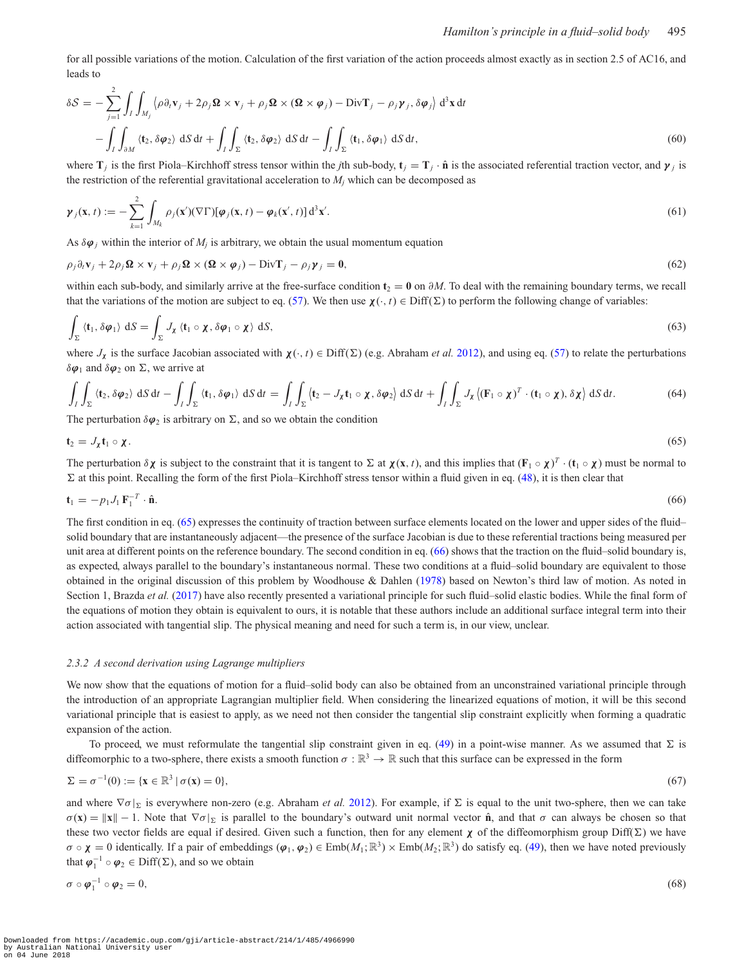for all possible variations of the motion. Calculation of the first variation of the action proceeds almost exactly as in section 2.5 of AC16, and leads to

$$
\delta S = -\sum_{j=1}^{2} \int_{I} \int_{M_{j}} \langle \rho \partial_{i} \mathbf{v}_{j} + 2 \rho_{j} \mathbf{\Omega} \times \mathbf{v}_{j} + \rho_{j} \mathbf{\Omega} \times (\mathbf{\Omega} \times \boldsymbol{\varphi}_{j}) - \text{Div} \mathbf{T}_{j} - \rho_{j} \mathbf{\gamma}_{j}, \delta \boldsymbol{\varphi}_{j} \rangle d^{3} \mathbf{x} dt - \int_{I} \int_{\partial M} \langle \mathbf{t}_{2}, \delta \boldsymbol{\varphi}_{2} \rangle dS dt + \int_{I} \int_{\Sigma} \langle \mathbf{t}_{2}, \delta \boldsymbol{\varphi}_{2} \rangle dS dt - \int_{I} \int_{\Sigma} \langle \mathbf{t}_{1}, \delta \boldsymbol{\varphi}_{1} \rangle dS dt,
$$
 (60)

where  $\mathbf{T}_i$  is the first Piola–Kirchhoff stress tensor within the *j*th sub-body,  $\mathbf{t}_i = \mathbf{T}_i \cdot \hat{\mathbf{n}}$  is the associated referential traction vector, and  $\gamma_i$  is the restriction of the referential gravitational acceleration to  $M_i$  which can be decomposed as

$$
\boldsymbol{\gamma}_j(\mathbf{x},t) := -\sum_{k=1}^2 \int_{M_k} \rho_j(\mathbf{x}')(\nabla \Gamma) [\boldsymbol{\varphi}_j(\mathbf{x},t) - \boldsymbol{\varphi}_k(\mathbf{x}',t)] \, \mathrm{d}^3 \mathbf{x}'. \tag{61}
$$

As  $\delta \varphi_i$  within the interior of  $M_i$  is arbitrary, we obtain the usual momentum equation

$$
\rho_j \partial_t \mathbf{v}_j + 2 \rho_j \mathbf{\Omega} \times \mathbf{v}_j + \rho_j \mathbf{\Omega} \times (\mathbf{\Omega} \times \boldsymbol{\varphi}_j) - \text{Div} \mathbf{T}_j - \rho_j \mathbf{\gamma}_j = \mathbf{0},\tag{62}
$$

within each sub-body, and similarly arrive at the free-surface condition  $t_2 = 0$  on  $\partial M$ . To deal with the remaining boundary terms, we recall that the variations of the motion are subject to eq. (57). We then use  $\chi(\cdot,t) \in \text{Diff}(\Sigma)$  to perform the following change of variables:

$$
\int_{\Sigma} \langle \mathbf{t}_1, \delta \varphi_1 \rangle \, \mathrm{d}S = \int_{\Sigma} J_{\chi} \langle \mathbf{t}_1 \circ \chi, \delta \varphi_1 \circ \chi \rangle \, \mathrm{d}S,\tag{63}
$$

where  $J_{\chi}$  is the surface Jacobian associated with  $\chi(\cdot,t) \in \text{Diff}(\Sigma)$  (e.g. Abraham *et al.* [2012\)](#page-20-9), and using eq. (57) to relate the perturbations δ $\varphi$ <sub>1</sub> and δ $\varphi$ <sub>2</sub> on Σ, we arrive at

$$
\int_{I} \int_{\Sigma} \langle \mathbf{t}_{2}, \delta \varphi_{2} \rangle \, dS \, dt - \int_{I} \int_{\Sigma} \langle \mathbf{t}_{1}, \delta \varphi_{1} \rangle \, dS \, dt = \int_{I} \int_{\Sigma} \langle \mathbf{t}_{2} - J_{\chi} \mathbf{t}_{1} \circ \chi, \delta \varphi_{2} \rangle \, dS \, dt + \int_{I} \int_{\Sigma} J_{\chi} \langle (\mathbf{F}_{1} \circ \chi)^{T} \cdot (\mathbf{t}_{1} \circ \chi), \delta \chi \rangle \, dS \, dt. \tag{64}
$$

The perturbation  $\delta \varphi_2$  is arbitrary on  $\Sigma$ , and so we obtain the condition

$$
\mathbf{t}_2 = J_{\chi} \mathbf{t}_1 \circ \chi. \tag{65}
$$

The perturbation  $\delta \chi$  is subject to the constraint that it is tangent to  $\Sigma$  at  $\chi(\mathbf{x}, t)$ , and this implies that  $(\mathbf{F}_1 \circ \chi)^T \cdot (\mathbf{t}_1 \circ \chi)$  must be normal to  $\Sigma$  at this point. Recalling the form of the first Piola–Kirchhoff stress tensor within a fluid given in eq. (48), it is then clear that

$$
\mathbf{t}_1 = -p_1 J_1 \mathbf{F}_1^{-T} \cdot \hat{\mathbf{n}}.\tag{66}
$$

The first condition in eq. (65) expresses the continuity of traction between surface elements located on the lower and upper sides of the fluid– solid boundary that are instantaneously adjacent—the presence of the surface Jacobian is due to these referential tractions being measured per unit area at different points on the reference boundary. The second condition in eq. (66) shows that the traction on the fluid–solid boundary is, as expected, always parallel to the boundary's instantaneous normal. These two conditions at a fluid–solid boundary are equivalent to those obtained in the original discussion of this problem by Woodhouse & Dahlen [\(1978\)](#page-22-2) based on Newton's third law of motion. As noted in Section 1, Brazda *et al.* [\(2017\)](#page-20-12) have also recently presented a variational principle for such fluid–solid elastic bodies. While the final form of the equations of motion they obtain is equivalent to ours, it is notable that these authors include an additional surface integral term into their action associated with tangential slip. The physical meaning and need for such a term is, in our view, unclear.

## *2.3.2 A second derivation using Lagrange multipliers*

We now show that the equations of motion for a fluid–solid body can also be obtained from an unconstrained variational principle through the introduction of an appropriate Lagrangian multiplier field. When considering the linearized equations of motion, it will be this second variational principle that is easiest to apply, as we need not then consider the tangential slip constraint explicitly when forming a quadratic expansion of the action.

To proceed, we must reformulate the tangential slip constraint given in eq. (49) in a point-wise manner. As we assumed that  $\Sigma$  is diffeomorphic to a two-sphere, there exists a smooth function  $\sigma : \mathbb{R}^3 \to \mathbb{R}$  such that this surface can be expressed in the form

$$
\Sigma = \sigma^{-1}(0) := \{ \mathbf{x} \in \mathbb{R}^3 \mid \sigma(\mathbf{x}) = 0 \},\tag{67}
$$

and where  $\nabla \sigma|_{\Sigma}$  is everywhere non-zero (e.g. Abraham *et al.* [2012\)](#page-20-9). For example, if  $\Sigma$  is equal to the unit two-sphere, then we can take  $\sigma(\mathbf{x}) = ||\mathbf{x}|| - 1$ . Note that  $\nabla \sigma|_{\Sigma}$  is parallel to the boundary's outward unit normal vector  $\hat{\mathbf{n}}$ , and that  $\sigma$  can always be chosen so that these two vector fields are equal if desired. Given such a function, then for any element  $\chi$  of the diffeomorphism group Diff( $\Sigma$ ) we have  $\sigma \circ \chi = 0$  identically. If a pair of embeddings  $(\varphi_1, \varphi_2) \in \text{Emb}(M_1; \mathbb{R}^3) \times \text{Emb}(M_2; \mathbb{R}^3)$  do satisfy eq. (49), then we have noted previously that  $\varphi_1^{-1} \circ \varphi_2 \in \text{Diff}(\Sigma)$ , and so we obtain

$$
\sigma \circ \varphi_1^{-1} \circ \varphi_2 = 0, \tag{68}
$$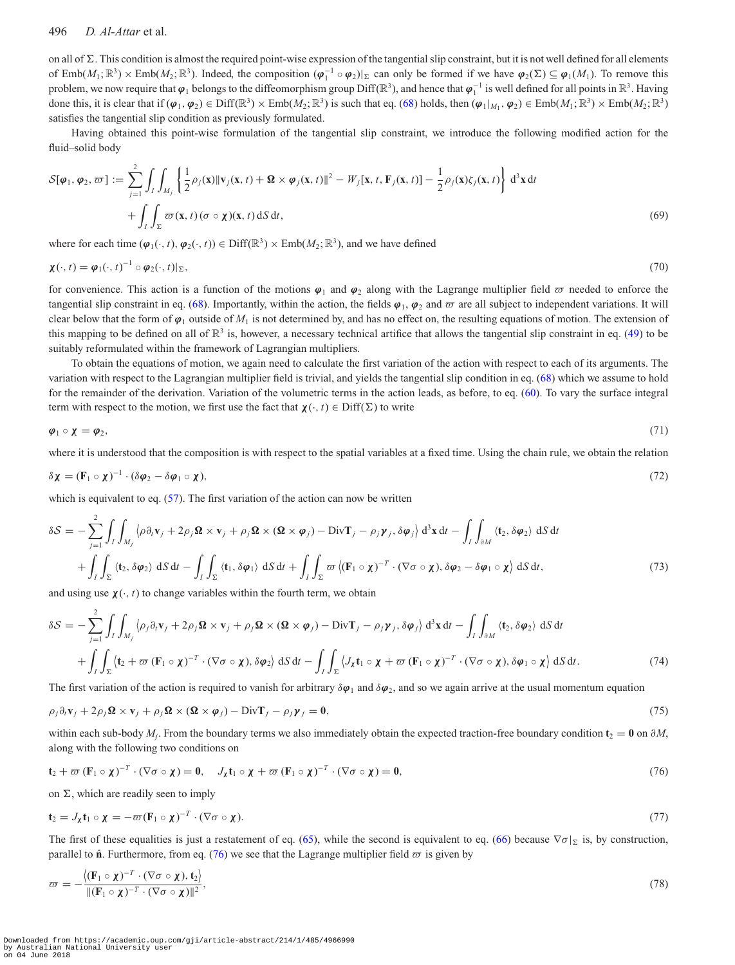on all of  $\Sigma$ . This condition is almost the required point-wise expression of the tangential slip constraint, but it is not well defined for all elements of  $\text{Emb}(M_1; \mathbb{R}^3) \times \text{Emb}(M_2; \mathbb{R}^3)$ . Indeed, the composition  $(\varphi_1^{-1} \circ \varphi_2)|_{\Sigma}$  can only be formed if we have  $\varphi_2(\Sigma) \subseteq \varphi_1(M_1)$ . To remove this problem, we now require that *ϕ*<sub>1</sub> belongs to the diffeomorphism group Diff( $\mathbb{R}^3$ ), and hence that  $\boldsymbol{\varphi}_1^{-1}$  is well defined for all points in  $\mathbb{R}^3$ . Having done this, it is clear that if  $(\varphi_1, \varphi_2) \in \text{Diff}(\mathbb{R}^3) \times \text{Emb}(M_2; \mathbb{R}^3)$  is such that eq. (68) holds, then  $(\varphi_1|_{M_1}, \varphi_2) \in \text{Emb}(M_1; \mathbb{R}^3) \times \text{Emb}(M_2; \mathbb{R}^3)$ satisfies the tangential slip condition as previously formulated.

Having obtained this point-wise formulation of the tangential slip constraint, we introduce the following modified action for the fluid–solid body

$$
\mathcal{S}[\varphi_1, \varphi_2, \varpi] := \sum_{j=1}^2 \int_I \int_{M_j} \left\{ \frac{1}{2} \rho_j(\mathbf{x}) \|\mathbf{v}_j(\mathbf{x}, t) + \mathbf{\Omega} \times \varphi_j(\mathbf{x}, t)\|^2 - W_j[\mathbf{x}, t, \mathbf{F}_j(\mathbf{x}, t)] - \frac{1}{2} \rho_j(\mathbf{x}) \zeta_j(\mathbf{x}, t) \right\} d^3 \mathbf{x} dt + \int_I \int_{\Sigma} \varpi(\mathbf{x}, t) (\sigma \circ \mathbf{\chi})(\mathbf{x}, t) dS dt,
$$
\n(69)

where for each time  $(\varphi_1(\cdot, t), \varphi_2(\cdot, t)) \in \text{Diff}(\mathbb{R}^3) \times \text{Emb}(M_2; \mathbb{R}^3)$ , and we have defined

$$
\chi(\cdot,t) = \varphi_1(\cdot,t)^{-1} \circ \varphi_2(\cdot,t)|_{\Sigma},\tag{70}
$$

for convenience. This action is a function of the motions  $\varphi_1$  and  $\varphi_2$  along with the Lagrange multiplier field  $\varpi$  needed to enforce the tangential slip constraint in eq. (68). Importantly, within the action, the fields  $\varphi_1$ ,  $\varphi_2$  and  $\varpi$  are all subject to independent variations. It will clear below that the form of  $\varphi_1$  outside of  $M_1$  is not determined by, and has no effect on, the resulting equations of motion. The extension of this mapping to be defined on all of  $\mathbb{R}^3$  is, however, a necessary technical artifice that allows the tangential slip constraint in eq. (49) to be suitably reformulated within the framework of Lagrangian multipliers.

To obtain the equations of motion, we again need to calculate the first variation of the action with respect to each of its arguments. The variation with respect to the Lagrangian multiplier field is trivial, and yields the tangential slip condition in eq. (68) which we assume to hold for the remainder of the derivation. Variation of the volumetric terms in the action leads, as before, to eq. (60). To vary the surface integral term with respect to the motion, we first use the fact that  $\chi(\cdot, t) \in \text{Diff}(\Sigma)$  to write

$$
\boldsymbol{\varphi}_1 \circ \boldsymbol{\chi} = \boldsymbol{\varphi}_2,\tag{71}
$$

where it is understood that the composition is with respect to the spatial variables at a fixed time. Using the chain rule, we obtain the relation

$$
\delta \chi = (\mathbf{F}_1 \circ \chi)^{-1} \cdot (\delta \varphi_2 - \delta \varphi_1 \circ \chi), \tag{72}
$$

which is equivalent to eq. (57). The first variation of the action can now be written

$$
\delta S = -\sum_{j=1}^{2} \int_{I} \int_{M_{j}} \langle \rho \partial_{i} \mathbf{v}_{j} + 2 \rho_{j} \mathbf{\Omega} \times \mathbf{v}_{j} + \rho_{j} \mathbf{\Omega} \times (\mathbf{\Omega} \times \boldsymbol{\varphi}_{j}) - \text{Div} \mathbf{T}_{j} - \rho_{j} \mathbf{\gamma}_{j}, \delta \boldsymbol{\varphi}_{j} \rangle d^{3} \mathbf{x} dt - \int_{I} \int_{\partial M} \langle \mathbf{t}_{2}, \delta \boldsymbol{\varphi}_{2} \rangle dS dt + \int_{I} \int_{\Sigma} \langle \mathbf{t}_{2}, \delta \boldsymbol{\varphi}_{2} \rangle dS dt - \int_{I} \int_{\Sigma} \langle \mathbf{t}_{1}, \delta \boldsymbol{\varphi}_{1} \rangle dS dt + \int_{I} \int_{\Sigma} \varpi \langle (\mathbf{F}_{1} \circ \mathbf{\chi})^{-T} \cdot (\nabla \sigma \circ \mathbf{\chi}), \delta \boldsymbol{\varphi}_{2} - \delta \boldsymbol{\varphi}_{1} \circ \mathbf{\chi} \rangle dS dt,
$$
(73)

and using use  $\chi(\cdot, t)$  to change variables within the fourth term, we obtain

$$
\delta S = -\sum_{j=1}^{2} \int_{I} \int_{M_{j}} \langle \rho_{j} \partial_{t} \mathbf{v}_{j} + 2 \rho_{j} \mathbf{\Omega} \times \mathbf{v}_{j} + \rho_{j} \mathbf{\Omega} \times (\mathbf{\Omega} \times \boldsymbol{\varphi}_{j}) - \text{Div} \mathbf{T}_{j} - \rho_{j} \mathbf{\gamma}_{j}, \delta \boldsymbol{\varphi}_{j} \rangle d^{3} \mathbf{x} dt - \int_{I} \int_{\partial M} \langle \mathbf{t}_{2}, \delta \boldsymbol{\varphi}_{2} \rangle dS dt + \int_{I} \int_{\Sigma} \langle \mathbf{t}_{2} + \boldsymbol{\varpi} \left( \mathbf{F}_{1} \circ \mathbf{\chi} \right)^{-T} \cdot (\nabla \boldsymbol{\sigma} \circ \mathbf{\chi}), \delta \boldsymbol{\varphi}_{2} \rangle dS dt - \int_{I} \int_{\Sigma} \langle J_{\chi} \mathbf{t}_{1} \circ \mathbf{\chi} + \boldsymbol{\varphi} \left( \mathbf{F}_{1} \circ \mathbf{\chi} \right)^{-T} \cdot (\nabla \boldsymbol{\sigma} \circ \mathbf{\chi}), \delta \boldsymbol{\varphi}_{1} \circ \mathbf{\chi} \rangle dS dt.
$$
 (74)

The first variation of the action is required to vanish for arbitrary  $\delta\varphi_1$  and  $\delta\varphi_2$ , and so we again arrive at the usual momentum equation

$$
\rho_j \partial_t \mathbf{v}_j + 2 \rho_j \mathbf{\Omega} \times \mathbf{v}_j + \rho_j \mathbf{\Omega} \times (\mathbf{\Omega} \times \boldsymbol{\varphi}_j) - \text{Div} \mathbf{T}_j - \rho_j \mathbf{\gamma}_j = \mathbf{0},\tag{75}
$$

within each sub-body  $M_i$ . From the boundary terms we also immediately obtain the expected traction-free boundary condition  $t_2 = 0$  on  $\partial M$ , along with the following two conditions on

$$
\mathbf{t}_2 + \boldsymbol{\varpi} \left( \mathbf{F}_1 \circ \boldsymbol{\chi} \right)^{-T} \cdot \left( \nabla \sigma \circ \boldsymbol{\chi} \right) = \mathbf{0}, \quad J_{\boldsymbol{\chi}} \mathbf{t}_1 \circ \boldsymbol{\chi} + \boldsymbol{\varpi} \left( \mathbf{F}_1 \circ \boldsymbol{\chi} \right)^{-T} \cdot \left( \nabla \sigma \circ \boldsymbol{\chi} \right) = \mathbf{0}, \tag{76}
$$

on  $\Sigma$ , which are readily seen to imply

 $\overline{1}$ 

$$
\mathbf{t}_2 = J_{\chi} \mathbf{t}_1 \circ \chi = -\varpi (\mathbf{F}_1 \circ \chi)^{-T} \cdot (\nabla \sigma \circ \chi). \tag{77}
$$

The first of these equalities is just a restatement of eq. (65), while the second is equivalent to eq. (66) because  $\nabla \sigma|_{\Sigma}$  is, by construction, parallel to  $\hat{\bf{n}}$ . Furthermore, from eq. (76) we see that the Lagrange multiplier field  $\varpi$  is given by

$$
\varpi = -\frac{\langle (\mathbf{F}_1 \circ \chi)^{-T} \cdot (\nabla \sigma \circ \chi), \mathbf{t}_2 \rangle}{\| (\mathbf{F}_1 \circ \chi)^{-T} \cdot (\nabla \sigma \circ \chi) \|^2},\tag{78}
$$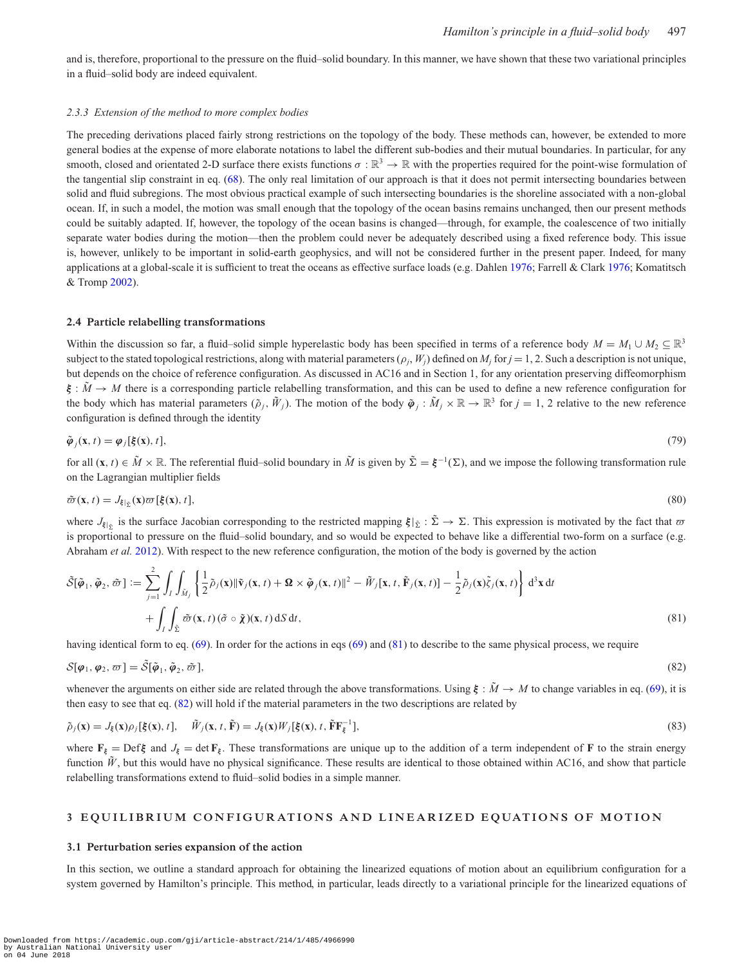and is, therefore, proportional to the pressure on the fluid–solid boundary. In this manner, we have shown that these two variational principles in a fluid–solid body are indeed equivalent.

## *2.3.3 Extension of the method to more complex bodies*

The preceding derivations placed fairly strong restrictions on the topology of the body. These methods can, however, be extended to more general bodies at the expense of more elaborate notations to label the different sub-bodies and their mutual boundaries. In particular, for any smooth, closed and orientated 2-D surface there exists functions  $\sigma : \mathbb{R}^3 \to \mathbb{R}$  with the properties required for the point-wise formulation of the tangential slip constraint in eq. (68). The only real limitation of our approach is that it does not permit intersecting boundaries between solid and fluid subregions. The most obvious practical example of such intersecting boundaries is the shoreline associated with a non-global ocean. If, in such a model, the motion was small enough that the topology of the ocean basins remains unchanged, then our present methods could be suitably adapted. If, however, the topology of the ocean basins is changed—through, for example, the coalescence of two initially separate water bodies during the motion—then the problem could never be adequately described using a fixed reference body. This issue is, however, unlikely to be important in solid-earth geophysics, and will not be considered further in the present paper. Indeed, for many applications at a global-scale it is sufficient to treat the oceans as effective surface loads (e.g. Dahlen  $1976$ ; Farrell & Clark  $1976$ ; Komatitsch & Tromp [2002\)](#page-21-51).

## **2.4 Particle relabelling transformations**

Within the discussion so far, a fluid–solid simple hyperelastic body has been specified in terms of a reference body  $M = M_1 \cup M_2 \subset \mathbb{R}^3$ subject to the stated topological restrictions, along with material parameters  $(\rho_i, W_i)$  defined on  $M_i$  for  $j = 1, 2$ . Such a description is not unique, but depends on the choice of reference configuration. As discussed in AC16 and in Section 1, for any orientation preserving diffeomorphism *ξ* :  $\tilde{M}$  → *M* there is a corresponding particle relabelling transformation, and this can be used to define a new reference configuration for the body which has material parameters  $(\tilde{\rho}_i, \tilde{W}_j)$ . The motion of the body  $\tilde{\varphi}_i : \tilde{M}_j \times \mathbb{R} \to \mathbb{R}^3$  for  $j = 1, 2$  relative to the new reference configuration is defined through the identity

$$
\tilde{\boldsymbol{\varphi}}_j(\mathbf{x},t) = \boldsymbol{\varphi}_j[\xi(\mathbf{x}),t],\tag{79}
$$

for all  $(\mathbf{x}, t) \in \tilde{M} \times \mathbb{R}$ . The referential fluid–solid boundary in  $\tilde{M}$  is given by  $\tilde{\Sigma} = \xi^{-1}(\Sigma)$ , and we impose the following transformation rule on the Lagrangian multiplier fields

$$
\tilde{\varpi}(\mathbf{x},t) = J_{\xi|_{\tilde{\Sigma}}}(\mathbf{x})\varpi[\xi(\mathbf{x}),t],\tag{80}
$$

where  $J_{\xi|_{\tilde{\Sigma}}}$  is the surface Jacobian corresponding to the restricted mapping  $\xi|_{\tilde{\Sigma}} : \tilde{\Sigma} \to \Sigma$ . This expression is motivated by the fact that  $\varpi$ is proportional to pressure on the fluid–solid boundary, and so would be expected to behave like a differential two-form on a surface (e.g. Abraham *et al.* [2012\)](#page-20-9). With respect to the new reference configuration, the motion of the body is governed by the action

$$
\tilde{\mathcal{S}}[\tilde{\boldsymbol{\varphi}}_1, \tilde{\boldsymbol{\varphi}}_2, \tilde{\boldsymbol{\varpi}}] := \sum_{j=1}^2 \int_I \int_{\tilde{M}_j} \left\{ \frac{1}{2} \tilde{\rho}_j(\mathbf{x}) \|\tilde{\mathbf{v}}_j(\mathbf{x}, t) + \mathbf{\Omega} \times \tilde{\boldsymbol{\varphi}}_j(\mathbf{x}, t) \|^2 - \tilde{W}_j[\mathbf{x}, t, \tilde{\mathbf{F}}_j(\mathbf{x}, t)] - \frac{1}{2} \tilde{\rho}_j(\mathbf{x}) \tilde{\zeta}_j(\mathbf{x}, t) \right\} d^3 \mathbf{x} dt + \int_I \int_{\tilde{\Sigma}} \tilde{\boldsymbol{\varpi}}(\mathbf{x}, t) (\tilde{\boldsymbol{\sigma}} \circ \tilde{\mathbf{x}})(\mathbf{x}, t) dS dt,
$$
\n(81)

having identical form to eq. (69). In order for the actions in eqs (69) and (81) to describe to the same physical process, we require

$$
S[\varphi_1, \varphi_2, \varpi] = \tilde{S}[\tilde{\varphi}_1, \tilde{\varphi}_2, \tilde{\varpi}], \tag{82}
$$

whenever the arguments on either side are related through the above transformations. Using  $\xi : \tilde{M} \to M$  to change variables in eq. (69), it is then easy to see that eq. (82) will hold if the material parameters in the two descriptions are related by

$$
\tilde{\rho}_j(\mathbf{x}) = J_{\xi}(\mathbf{x})\rho_j[\xi(\mathbf{x}), t], \quad \tilde{W}_j(\mathbf{x}, t, \tilde{\mathbf{F}}) = J_{\xi}(\mathbf{x})W_j[\xi(\mathbf{x}), t, \tilde{\mathbf{F}}\mathbf{F}_{\xi}^{-1}],
$$
\n(83)

where  $\mathbf{F}_{\xi} = \text{Def} \xi$  and  $J_{\xi} = \det \mathbf{F}_{\xi}$ . These transformations are unique up to the addition of a term independent of **F** to the strain energy function  $\tilde{W}$ , but this would have no physical significance. These results are identical to those obtained within AC16, and show that particle relabelling transformations extend to fluid–solid bodies in a simple manner.

## **3 EQUILIBRIUM CONFIGURATIONS AND LINEARIZED EQUATIONS OF MOTION**

#### **3.1 Perturbation series expansion of the action**

In this section, we outline a standard approach for obtaining the linearized equations of motion about an equilibrium configuration for a system governed by Hamilton's principle. This method, in particular, leads directly to a variational principle for the linearized equations of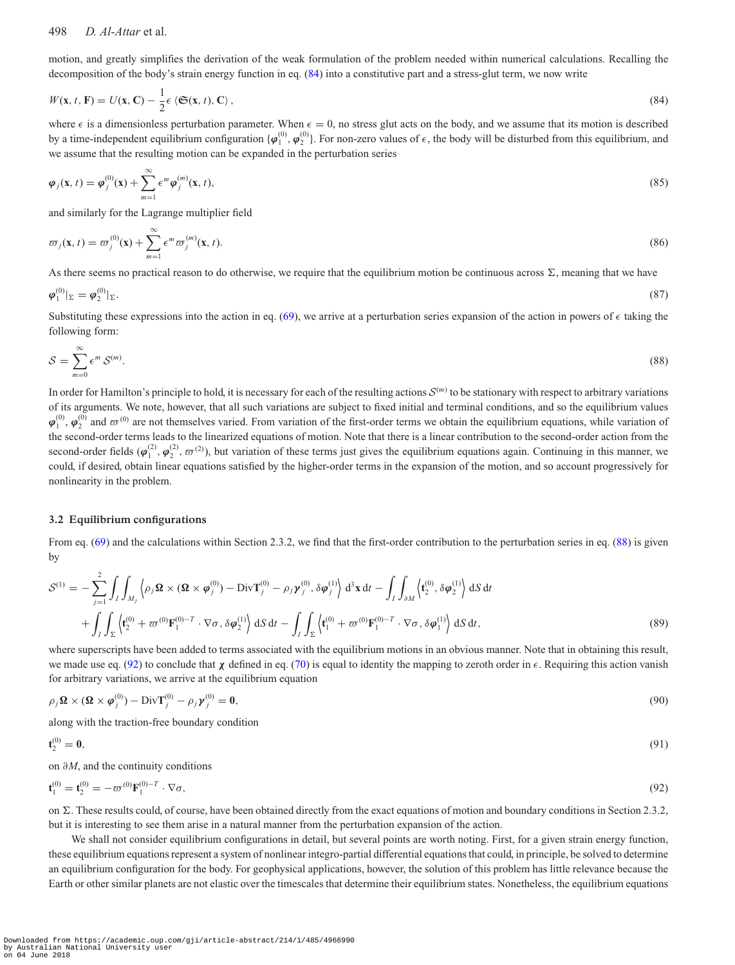motion, and greatly simplifies the derivation of the weak formulation of the problem needed within numerical calculations. Recalling the decomposition of the body's strain energy function in eq. (84) into a constitutive part and a stress-glut term, we now write

$$
W(\mathbf{x}, t, \mathbf{F}) = U(\mathbf{x}, \mathbf{C}) - \frac{1}{2} \epsilon \langle \mathfrak{S}(\mathbf{x}, t), \mathbf{C} \rangle, \tag{84}
$$

where  $\epsilon$  is a dimensionless perturbation parameter. When  $\epsilon = 0$ , no stress glut acts on the body, and we assume that its motion is described by a time-independent equilibrium configuration  ${\{\phi_1^{(0)}, \phi_2^{(0)}\}}$ . For non-zero values of  $\epsilon$ , the body will be disturbed from this equilibrium, and we assume that the resulting motion can be expanded in the perturbation series

$$
\boldsymbol{\varphi}_j(\mathbf{x},t) = \boldsymbol{\varphi}_j^{(0)}(\mathbf{x}) + \sum_{m=1}^{\infty} \epsilon^m \boldsymbol{\varphi}_j^{(m)}(\mathbf{x},t),
$$
\n(85)

and similarly for the Lagrange multiplier field

$$
\varpi_j(\mathbf{x},t) = \varpi_j^{(0)}(\mathbf{x}) + \sum_{m=1}^{\infty} \epsilon^m \varpi_j^{(m)}(\mathbf{x},t). \tag{86}
$$

As there seems no practical reason to do otherwise, we require that the equilibrium motion be continuous across  $\Sigma$ , meaning that we have

$$
\varphi_1^{(0)}|_{\Sigma} = \varphi_2^{(0)}|_{\Sigma}.\tag{87}
$$

Substituting these expressions into the action in eq. (69), we arrive at a perturbation series expansion of the action in powers of  $\epsilon$  taking the following form:

$$
S = \sum_{m=0}^{\infty} \epsilon^m S^{(m)}.
$$
\n(88)

In order for Hamilton's principle to hold, it is necessary for each of the resulting actions  $\mathcal{S}^{(m)}$  to be stationary with respect to arbitrary variations of its arguments. We note, however, that all such variations are subject to fixed initial and terminal conditions, and so the equilibrium values  $\varphi_1^{(0)}$ ,  $\varphi_2^{(0)}$  and  $\varpi^{(0)}$  are not themselves varied. From variation of the first-order terms we obtain the equilibrium equations, while variation of the second-order terms leads to the linearized equations of motion. Note that there is a linear contribution to the second-order action from the second-order fields  $(\varphi_1^{(2)}, \varphi_2^{(2)}, \varpi^{(2)})$ , but variation of these terms just gives the equilibrium equations again. Continuing in this manner, we could, if desired, obtain linear equations satisfied by the higher-order terms in the expansion of the motion, and so account progressively for nonlinearity in the problem.

#### **3.2 Equilibrium configurations**

From eq. (69) and the calculations within Section 2.3.2, we find that the first-order contribution to the perturbation series in eq. (88) is given by

$$
S^{(1)} = -\sum_{j=1}^{2} \int_{I} \int_{M_{j}} \left\langle \rho_{j} \mathbf{\Omega} \times (\mathbf{\Omega} \times \boldsymbol{\varphi}_{j}^{(0)}) - \text{Div} \mathbf{T}_{j}^{(0)} - \rho_{j} \boldsymbol{\gamma}_{j}^{(0)}, \delta \boldsymbol{\varphi}_{j}^{(1)} \right\rangle d^{3} \mathbf{x} dt - \int_{I} \int_{\partial M} \left\langle \mathbf{t}_{2}^{(0)}, \delta \boldsymbol{\varphi}_{2}^{(1)} \right\rangle dS dt + \int_{I} \int_{\Sigma} \left\langle \mathbf{t}_{2}^{(0)} + \boldsymbol{\varpi}^{(0)} \mathbf{F}_{1}^{(0)-T} \cdot \nabla \boldsymbol{\sigma}, \delta \boldsymbol{\varphi}_{2}^{(1)} \right\rangle dS dt - \int_{I} \int_{\Sigma} \left\langle \mathbf{t}_{1}^{(0)} + \boldsymbol{\varpi}^{(0)} \mathbf{F}_{1}^{(0)-T} \cdot \nabla \boldsymbol{\sigma}, \delta \boldsymbol{\varphi}_{1}^{(1)} \right\rangle dS dt, \tag{89}
$$

where superscripts have been added to terms associated with the equilibrium motions in an obvious manner. Note that in obtaining this result, we made use eq. (92) to conclude that  $\chi$  defined in eq. (70) is equal to identity the mapping to zeroth order in  $\epsilon$ . Requiring this action vanish for arbitrary variations, we arrive at the equilibrium equation

$$
\rho_j \Omega \times (\Omega \times \boldsymbol{\varphi}_j^{(0)}) - \text{Div} \mathbf{T}_j^{(0)} - \rho_j \boldsymbol{\gamma}_j^{(0)} = \mathbf{0},\tag{90}
$$

along with the traction-free boundary condition

$$
\mathbf{t}_{2}^{(0)} = \mathbf{0},\tag{91}
$$

on ∂*M*, and the continuity conditions

$$
\mathbf{t}_1^{(0)} = \mathbf{t}_2^{(0)} = -\varpi^{(0)} \mathbf{F}_1^{(0)-T} \cdot \nabla \sigma,\tag{92}
$$

on  $\Sigma$ . These results could, of course, have been obtained directly from the exact equations of motion and boundary conditions in Section 2.3.2, but it is interesting to see them arise in a natural manner from the perturbation expansion of the action.

We shall not consider equilibrium configurations in detail, but several points are worth noting. First, for a given strain energy function, these equilibrium equations represent a system of nonlinear integro-partial differential equations that could, in principle, be solved to determine an equilibrium configuration for the body. For geophysical applications, however, the solution of this problem has little relevance because the Earth or other similar planets are not elastic over the timescales that determine their equilibrium states. Nonetheless, the equilibrium equations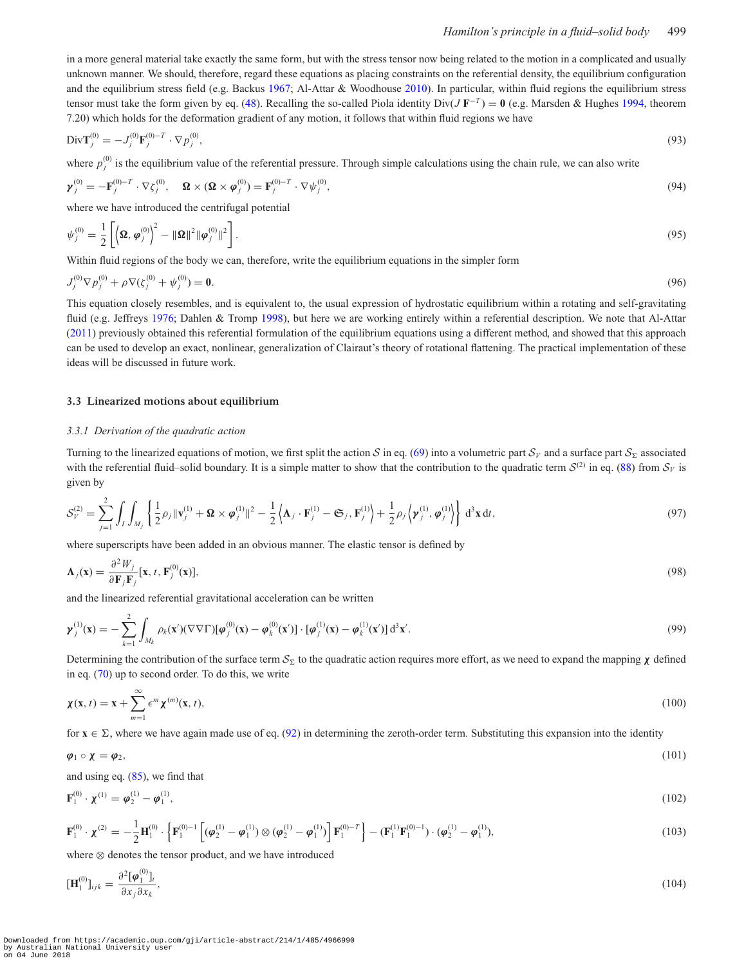in a more general material take exactly the same form, but with the stress tensor now being related to the motion in a complicated and usually unknown manner. We should, therefore, regard these equations as placing constraints on the referential density, the equilibrium configuration and the equilibrium stress field (e.g. Backus [1967;](#page-20-14) Al-Attar & Woodhouse [2010\)](#page-20-15). In particular, within fluid regions the equilibrium stress tensor must take the form given by eq. (48). Recalling the so-called Piola identity  $Div(JF^{-T}) = 0$  (e.g. Marsden & Hughes [1994,](#page-21-45) theorem 7.20) which holds for the deformation gradient of any motion, it follows that within fluid regions we have

$$
\text{Div} \mathbf{T}_{j}^{(0)} = -J_{j}^{(0)} \mathbf{F}_{j}^{(0)-T} \cdot \nabla p_{j}^{(0)},\tag{93}
$$

where  $p_j^{(0)}$  is the equilibrium value of the referential pressure. Through simple calculations using the chain rule, we can also write

$$
\boldsymbol{\gamma}_j^{(0)} = -\mathbf{F}_j^{(0)-T} \cdot \nabla \zeta_j^{(0)}, \quad \boldsymbol{\Omega} \times (\boldsymbol{\Omega} \times \boldsymbol{\varphi}_j^{(0)}) = \mathbf{F}_j^{(0)-T} \cdot \nabla \psi_j^{(0)}, \tag{94}
$$

where we have introduced the centrifugal potential

$$
\psi_j^{(0)} = \frac{1}{2} \left[ \left\langle \mathbf{\Omega}, \boldsymbol{\varphi}_j^{(0)} \right\rangle^2 - \|\mathbf{\Omega}\|^2 \|\boldsymbol{\varphi}_j^{(0)}\|^2 \right].
$$
\n(95)

Within fluid regions of the body we can, therefore, write the equilibrium equations in the simpler form

$$
J_j^{(0)} \nabla p_j^{(0)} + \rho \nabla (\zeta_j^{(0)} + \psi_j^{(0)}) = \mathbf{0}.\tag{96}
$$

This equation closely resembles, and is equivalent to, the usual expression of hydrostatic equilibrium within a rotating and self-gravitating fluid (e.g. Jeffreys [1976;](#page-21-52) Dahlen & Tromp [1998\)](#page-21-1), but here we are working entirely within a referential description. We note that Al-Attar [\(2011\)](#page-20-16) previously obtained this referential formulation of the equilibrium equations using a different method, and showed that this approach can be used to develop an exact, nonlinear, generalization of Clairaut's theory of rotational flattening. The practical implementation of these ideas will be discussed in future work.

## **3.3 Linearized motions about equilibrium**

#### *3.3.1 Derivation of the quadratic action*

Turning to the linearized equations of motion, we first split the action S in eq. (69) into a volumetric part  $S_V$  and a surface part  $S_\Sigma$  associated with the referential fluid–solid boundary. It is a simple matter to show that the contribution to the quadratic term  $S^{(2)}$  in eq. (88) from  $S_V$  is given by

$$
\mathcal{S}_{V}^{(2)} = \sum_{j=1}^{2} \int_{I} \int_{M_{j}} \left\{ \frac{1}{2} \rho_{j} \|\mathbf{v}_{j}^{(1)} + \mathbf{\Omega} \times \boldsymbol{\varphi}_{j}^{(1)}\|^{2} - \frac{1}{2} \left\langle \mathbf{\Lambda}_{j} \cdot \mathbf{F}_{j}^{(1)} - \mathbf{\mathfrak{S}}_{j}, \mathbf{F}_{j}^{(1)} \right\rangle + \frac{1}{2} \rho_{j} \left\langle \mathbf{v}_{j}^{(1)}, \boldsymbol{\varphi}_{j}^{(1)} \right\rangle \right\} d^{3} \mathbf{x} dt,
$$
\n(97)

where superscripts have been added in an obvious manner. The elastic tensor is defined by

$$
\Lambda_j(\mathbf{x}) = \frac{\partial^2 W_j}{\partial \mathbf{F}_j \mathbf{F}_j} [\mathbf{x}, t, \mathbf{F}_j^{(0)}(\mathbf{x})],\tag{98}
$$

and the linearized referential gravitational acceleration can be written

$$
\boldsymbol{\gamma}_j^{(1)}(\mathbf{x}) = -\sum_{k=1}^2 \int_{M_k} \rho_k(\mathbf{x}') (\nabla \nabla \Gamma) [\boldsymbol{\varphi}_j^{(0)}(\mathbf{x}) - \boldsymbol{\varphi}_k^{(0)}(\mathbf{x}')] \cdot [\boldsymbol{\varphi}_j^{(1)}(\mathbf{x}) - \boldsymbol{\varphi}_k^{(1)}(\mathbf{x}')] d^3 \mathbf{x}'. \tag{99}
$$

Determining the contribution of the surface term  $S_{\Sigma}$  to the quadratic action requires more effort, as we need to expand the mapping *χ* defined in eq. (70) up to second order. To do this, we write

$$
\chi(\mathbf{x},t) = \mathbf{x} + \sum_{m=1}^{\infty} \epsilon^m \chi^{(m)}(\mathbf{x},t),
$$
\n(100)

for  $x \in \Sigma$ , where we have again made use of eq. (92) in determining the zeroth-order term. Substituting this expansion into the identity

$$
\varphi_1 \circ \chi = \varphi_2,\tag{101}
$$

and using eq. (85), we find that

$$
\mathbf{F}_1^{(0)} \cdot \mathbf{\chi}^{(1)} = \boldsymbol{\varphi}_2^{(1)} - \boldsymbol{\varphi}_1^{(1)},\tag{102}
$$

$$
\mathbf{F}_1^{(0)} \cdot \mathbf{\chi}^{(2)} = -\frac{1}{2} \mathbf{H}_1^{(0)} \cdot \left\{ \mathbf{F}_1^{(0)-1} \left[ (\boldsymbol{\varphi}_2^{(1)} - \boldsymbol{\varphi}_1^{(1)}) \otimes (\boldsymbol{\varphi}_2^{(1)} - \boldsymbol{\varphi}_1^{(1)}) \right] \mathbf{F}_1^{(0)-T} \right\} - (\mathbf{F}_1^{(1)} \mathbf{F}_1^{(0)-1}) \cdot (\boldsymbol{\varphi}_2^{(1)} - \boldsymbol{\varphi}_1^{(1)}), \tag{103}
$$

where ⊗ denotes the tensor product, and we have introduced

$$
[\mathbf{H}_1^{(0)}]_{ijk} = \frac{\partial^2 [\boldsymbol{\varphi}_1^{(0)}]_i}{\partial x_j \partial x_k},\tag{104}
$$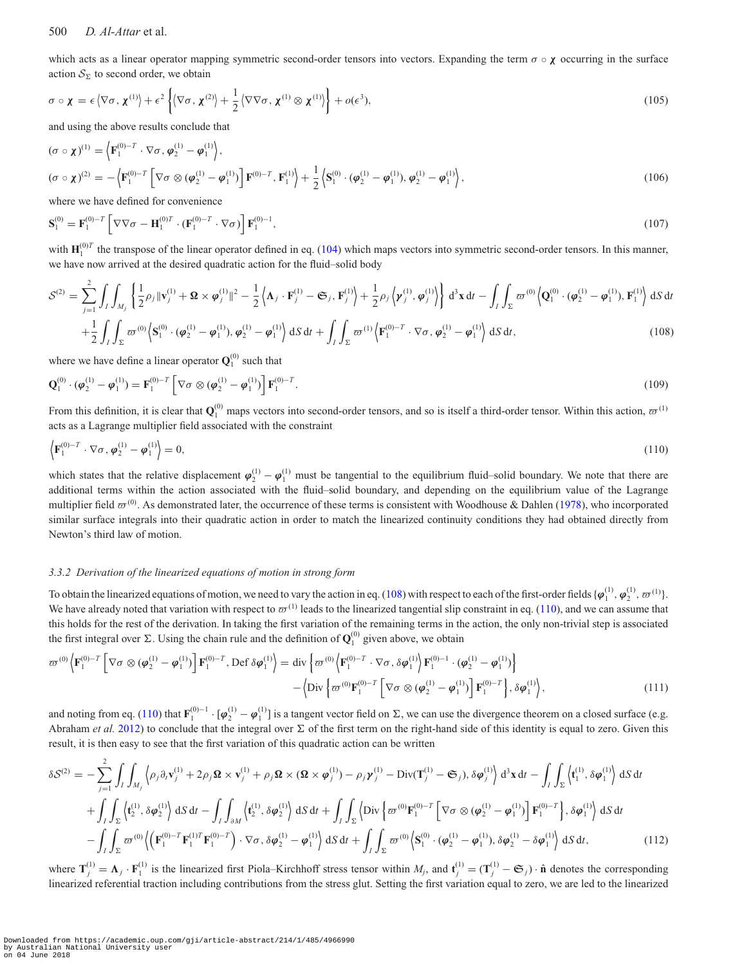which acts as a linear operator mapping symmetric second-order tensors into vectors. Expanding the term  $\sigma \circ \chi$  occurring in the surface action  $S_{\Sigma}$  to second order, we obtain

$$
\sigma \circ \chi = \epsilon \left\langle \nabla \sigma, \chi^{(1)} \right\rangle + \epsilon^2 \left\{ \left\langle \nabla \sigma, \chi^{(2)} \right\rangle + \frac{1}{2} \left\langle \nabla \nabla \sigma, \chi^{(1)} \otimes \chi^{(1)} \right\rangle \right\} + o(\epsilon^3),\tag{105}
$$

and using the above results conclude that

$$
(\sigma \circ \chi)^{(1)} = \left\langle \mathbf{F}_1^{(0)-T} \cdot \nabla \sigma, \boldsymbol{\varphi}_2^{(1)} - \boldsymbol{\varphi}_1^{(1)} \right\rangle,
$$
  
\n
$$
(\sigma \circ \chi)^{(2)} = -\left\langle \mathbf{F}_1^{(0)-T} \left[ \nabla \sigma \otimes (\boldsymbol{\varphi}_2^{(1)} - \boldsymbol{\varphi}_1^{(1)}) \right] \mathbf{F}^{(0)-T}, \mathbf{F}_1^{(1)} \right\rangle + \frac{1}{2} \left\langle \mathbf{S}_1^{(0)} \cdot (\boldsymbol{\varphi}_2^{(1)} - \boldsymbol{\varphi}_1^{(1)}), \boldsymbol{\varphi}_2^{(1)} - \boldsymbol{\varphi}_1^{(1)} \right\rangle, \tag{106}
$$

where we have defined for convenience

$$
\mathbf{S}_1^{(0)} = \mathbf{F}_1^{(0)-T} \left[ \nabla \nabla \sigma - \mathbf{H}_1^{(0)T} \cdot (\mathbf{F}_1^{(0)-T} \cdot \nabla \sigma) \right] \mathbf{F}_1^{(0)-1},\tag{107}
$$

with  $\mathbf{H}_1^{(0)T}$  the transpose of the linear operator defined in eq. (104) which maps vectors into symmetric second-order tensors. In this manner, we have now arrived at the desired quadratic action for the fluid–solid body

$$
S^{(2)} = \sum_{j=1}^{2} \int_{I} \int_{M_{j}} \left\{ \frac{1}{2} \rho_{j} \|\mathbf{v}_{j}^{(1)} + \mathbf{\Omega} \times \boldsymbol{\varphi}_{j}^{(1)}\|^{2} - \frac{1}{2} \left\langle \mathbf{\Lambda}_{j} \cdot \mathbf{F}_{j}^{(1)} - \mathbf{\mathfrak{S}}_{j}, \mathbf{F}_{j}^{(1)} \right\rangle + \frac{1}{2} \rho_{j} \left\langle \mathbf{v}_{j}^{(1)}, \boldsymbol{\varphi}_{j}^{(1)} \right\rangle \right\} d^{3} \mathbf{x} dt - \int_{I} \int_{\Sigma} \boldsymbol{\varpi}^{(0)} \left\langle \mathbf{Q}_{1}^{(0)} \cdot (\boldsymbol{\varphi}_{2}^{(1)} - \boldsymbol{\varphi}_{1}^{(1)}), \mathbf{F}_{1}^{(1)} \right\rangle dS dt
$$

$$
+ \frac{1}{2} \int_{I} \int_{\Sigma} \boldsymbol{\varpi}^{(0)} \left\langle \mathbf{S}_{1}^{(0)} \cdot (\boldsymbol{\varphi}_{2}^{(1)} - \boldsymbol{\varphi}_{1}^{(1)}), \boldsymbol{\varphi}_{2}^{(1)} - \boldsymbol{\varphi}_{1}^{(1)} \right\rangle dS dt + \int_{I} \int_{\Sigma} \boldsymbol{\varpi}^{(1)} \left\langle \mathbf{F}_{1}^{(0)-T} \cdot \nabla \boldsymbol{\sigma}, \boldsymbol{\varphi}_{2}^{(1)} - \boldsymbol{\varphi}_{1}^{(1)} \right\rangle dS dt, \qquad (108)
$$

where we have define a linear operator  $Q_1^{(0)}$  such that

$$
\mathbf{Q}_1^{(0)} \cdot (\boldsymbol{\varphi}_2^{(1)} - \boldsymbol{\varphi}_1^{(1)}) = \mathbf{F}_1^{(0)-T} \left[ \nabla \sigma \otimes (\boldsymbol{\varphi}_2^{(1)} - \boldsymbol{\varphi}_1^{(1)}) \right] \mathbf{F}_1^{(0)-T}.
$$
\n(109)

From this definition, it is clear that  $\mathbf{Q}_1^{(0)}$  maps vectors into second-order tensors, and so is itself a third-order tensor. Within this action,  $\varpi^{(1)}$ acts as a Lagrange multiplier field associated with the constraint

$$
\left\langle \mathbf{F}_1^{(0)-T} \cdot \nabla \sigma, \boldsymbol{\varphi}_2^{(1)} - \boldsymbol{\varphi}_1^{(1)} \right\rangle = 0, \tag{110}
$$

which states that the relative displacement  $\varphi_2^{(1)} - \varphi_1^{(1)}$  must be tangential to the equilibrium fluid–solid boundary. We note that there are additional terms within the action associated with the fluid–solid boundary, and depending on the equilibrium value of the Lagrange multiplier field  $\sigma^{(0)}$ . As demonstrated later, the occurrence of these terms is consistent with Woodhouse & Dahlen [\(1978\)](#page-22-2), who incorporated similar surface integrals into their quadratic action in order to match the linearized continuity conditions they had obtained directly from Newton's third law of motion.

#### *3.3.2 Derivation of the linearized equations of motion in strong form*

To obtain the linearized equations of motion, we need to vary the action in eq. (108) with respect to each of the first-order fields { $\varphi_1^{(1)}$ ,  $\varphi_2^{(1)}$ ,  $\varpi^{(1)}$ }. We have already noted that variation with respect to  $\varpi^{(1)}$  leads to the linearized tangential slip constraint in eq. (110), and we can assume that this holds for the rest of the derivation. In taking the first variation of the remaining terms in the action, the only non-trivial step is associated the first integral over  $\Sigma$ . Using the chain rule and the definition of  $\mathbf{Q}_1^{(0)}$  given above, we obtain

$$
\varpi^{(0)}\left\{\mathbf{F}_{1}^{(0)-T}\left[\nabla\sigma\otimes(\boldsymbol{\varphi}_{2}^{(1)}-\boldsymbol{\varphi}_{1}^{(1)})\right]\mathbf{F}_{1}^{(0)-T},\mathrm{Def}\,\delta\boldsymbol{\varphi}_{1}^{(1)}\right\}=\mathrm{div}\left\{\varpi^{(0)}\left\{\mathbf{F}_{1}^{(0)-T}\cdot\nabla\sigma,\delta\boldsymbol{\varphi}_{1}^{(1)}\right\}\mathbf{F}_{1}^{(0)-1}\cdot(\boldsymbol{\varphi}_{2}^{(1)}-\boldsymbol{\varphi}_{1}^{(1)})\right\}\n-\left\{\mathrm{Div}\left\{\varpi^{(0)}\mathbf{F}_{1}^{(0)-T}\left[\nabla\sigma\otimes(\boldsymbol{\varphi}_{2}^{(1)}-\boldsymbol{\varphi}_{1}^{(1)})\right]\mathbf{F}_{1}^{(0)-T}\right\},\delta\boldsymbol{\varphi}_{1}^{(1)}\right\},\tag{111}
$$

and noting from eq. (110) that  $\mathbf{F}_1^{(0)-1} \cdot [\boldsymbol{\varphi}_2^{(1)} - \boldsymbol{\varphi}_1^{(1)}]$  is a tangent vector field on  $\Sigma$ , we can use the divergence theorem on a closed surface (e.g. Abraham *et al.* [2012\)](#page-20-9) to conclude that the integral over  $\Sigma$  of the first term on the right-hand side of this identity is equal to zero. Given this result, it is then easy to see that the first variation of this quadratic action can be written

$$
\delta S^{(2)} = -\sum_{j=1}^{2} \int_{I} \int_{M_{j}} \left\langle \rho_{j} \partial_{t} \mathbf{v}_{j}^{(1)} + 2 \rho_{j} \mathbf{\Omega} \times \mathbf{v}_{j}^{(1)} + \rho_{j} \mathbf{\Omega} \times (\mathbf{\Omega} \times \boldsymbol{\varphi}_{j}^{(1)}) - \rho_{j} \mathbf{v}_{j}^{(1)} - \text{Div}(\mathbf{T}_{j}^{(1)} - \mathbf{\mathfrak{S}}_{j}), \delta \boldsymbol{\varphi}_{j}^{(1)} \right) d^{3} \mathbf{x} dt - \int_{I} \int_{\Sigma} \left\langle \mathbf{t}_{1}^{(1)}, \delta \boldsymbol{\varphi}_{1}^{(1)} \right\rangle dS dt + \int_{I} \int_{\Sigma} \left\langle \mathbf{t}_{2}^{(1)}, \delta \boldsymbol{\varphi}_{2}^{(1)} \right\rangle dS dt - \int_{I} \int_{\partial M} \left\langle \mathbf{t}_{2}^{(1)}, \delta \boldsymbol{\varphi}_{2}^{(1)} \right\rangle dS dt + \int_{I} \int_{\Sigma} \left\langle \text{Div} \left\{ \varpi^{(0)} \mathbf{F}_{1}^{(0)-T} \left[ \nabla \sigma \otimes (\boldsymbol{\varphi}_{2}^{(1)} - \boldsymbol{\varphi}_{1}^{(1)}) \right] \mathbf{F}_{1}^{(0)-T} \right\}, \delta \boldsymbol{\varphi}_{1}^{(1)} \right\rangle dS dt - \int_{I} \int_{\Sigma} \varpi^{(0)} \left\langle \left( \mathbf{F}_{1}^{(0)-T} \mathbf{F}_{1}^{(1)T} \mathbf{F}_{1}^{(0)-T} \right) \cdot \nabla \sigma, \delta \boldsymbol{\varphi}_{2}^{(1)} - \boldsymbol{\varphi}_{1}^{(1)} \right\rangle dS dt + \int_{I} \int_{\Sigma} \varpi^{(0)} \left\langle \mathbf{S}_{1}^{(0)} \cdot (\boldsymbol{\varphi}_{2}^{(1)} - \boldsymbol{\varphi}_{1}^{(1)}), \delta \boldsymbol{\varphi}_{2}^{(1)} - \delta \boldsymbol{\varphi}_{1}^{(1)} \right\rangle dS dt, \tag{112}
$$

where  $\mathbf{T}_j^{(1)} = \mathbf{\Lambda}_j \cdot \mathbf{F}_1^{(1)}$  is the linearized first Piola–Kirchhoff stress tensor within  $M_j$ , and  $\mathbf{t}_j^{(1)} = (\mathbf{T}_j^{(1)} - \mathfrak{S}_j) \cdot \hat{\mathbf{n}}$  denotes the corresponding linearized referential traction including contributions from the stress glut. Setting the first variation equal to zero, we are led to the linearized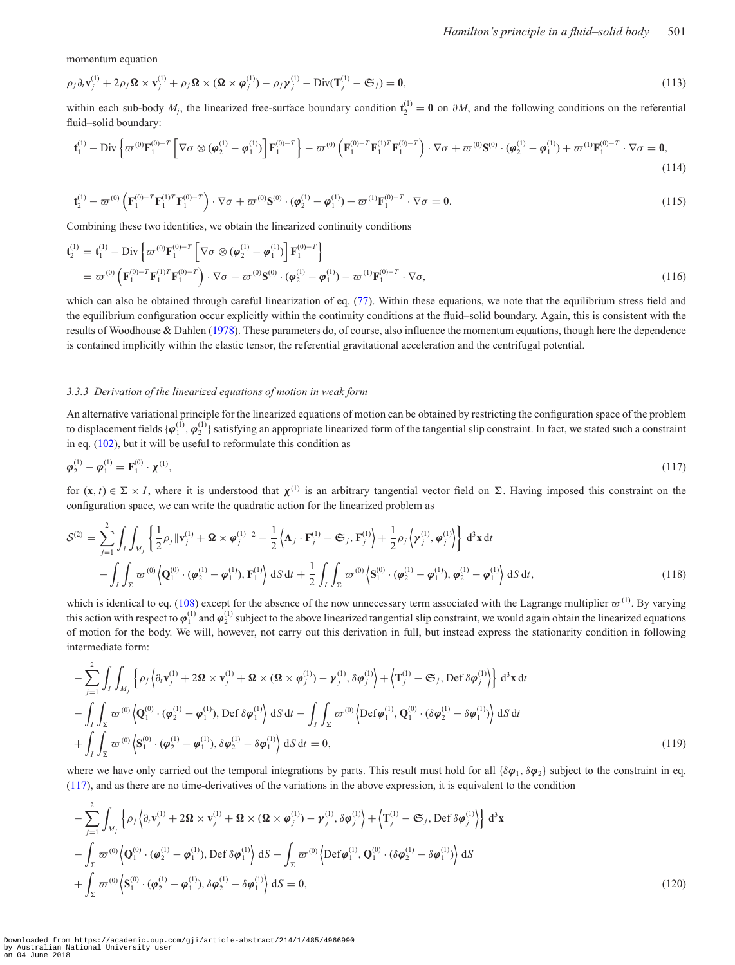momentum equation

$$
\rho_j \partial_t \mathbf{v}_j^{(1)} + 2\rho_j \mathbf{\Omega} \times \mathbf{v}_j^{(1)} + \rho_j \mathbf{\Omega} \times (\mathbf{\Omega} \times \boldsymbol{\varphi}_j^{(1)}) - \rho_j \mathbf{y}_j^{(1)} - \text{Div}(\mathbf{T}_j^{(1)} - \mathfrak{S}_j) = \mathbf{0},\tag{113}
$$

within each sub-body  $M_j$ , the linearized free-surface boundary condition  $t_2^{(1)} = \mathbf{0}$  on  $\partial M$ , and the following conditions on the referential fluid–solid boundary:

$$
\mathbf{t}_{1}^{(1)} - \operatorname{Div} \left\{ \varpi^{(0)} \mathbf{F}_{1}^{(0)-T} \left[ \nabla \sigma \otimes (\varphi_{2}^{(1)} - \varphi_{1}^{(1)}) \right] \mathbf{F}_{1}^{(0)-T} \right\} - \varpi^{(0)} \left( \mathbf{F}_{1}^{(0)-T} \mathbf{F}_{1}^{(1)T} \mathbf{F}_{1}^{(0)-T} \right) \cdot \nabla \sigma + \varpi^{(0)} \mathbf{S}^{(0)} \cdot (\varphi_{2}^{(1)} - \varphi_{1}^{(1)}) + \varpi^{(1)} \mathbf{F}_{1}^{(0)-T} \cdot \nabla \sigma = \mathbf{0},\tag{114}
$$

$$
\mathbf{t}_{2}^{(1)} - \boldsymbol{\varpi}^{(0)} \left( \mathbf{F}_{1}^{(0)-T} \mathbf{F}_{1}^{(1)T} \mathbf{F}_{1}^{(0)-T} \right) \cdot \nabla \sigma + \boldsymbol{\varpi}^{(0)} \mathbf{S}^{(0)} \cdot (\boldsymbol{\varphi}_{2}^{(1)} - \boldsymbol{\varphi}_{1}^{(1)}) + \boldsymbol{\varpi}^{(1)} \mathbf{F}_{1}^{(0)-T} \cdot \nabla \sigma = \mathbf{0}.
$$
\n(115)

Combining these two identities, we obtain the linearized continuity conditions

$$
\mathbf{t}_{2}^{(1)} = \mathbf{t}_{1}^{(1)} - \text{Div}\left\{\boldsymbol{\varpi}^{(0)}\mathbf{F}_{1}^{(0)-T}\left[\nabla\sigma\otimes(\boldsymbol{\varphi}_{2}^{(1)} - \boldsymbol{\varphi}_{1}^{(1)})\right]\mathbf{F}_{1}^{(0)-T}\right\} \n= \boldsymbol{\varpi}^{(0)}\left(\mathbf{F}_{1}^{(0)-T}\mathbf{F}_{1}^{(1)T}\mathbf{F}_{1}^{(0)-T}\right) \cdot \nabla\sigma - \boldsymbol{\varpi}^{(0)}\mathbf{S}^{(0)} \cdot (\boldsymbol{\varphi}_{2}^{(1)} - \boldsymbol{\varphi}_{1}^{(1)}) - \boldsymbol{\varpi}^{(1)}\mathbf{F}_{1}^{(0)-T} \cdot \nabla\sigma,
$$
\n(116)

which can also be obtained through careful linearization of eq. (77). Within these equations, we note that the equilibrium stress field and the equilibrium configuration occur explicitly within the continuity conditions at the fluid–solid boundary. Again, this is consistent with the results of Woodhouse & Dahlen [\(1978\)](#page-22-2). These parameters do, of course, also influence the momentum equations, though here the dependence is contained implicitly within the elastic tensor, the referential gravitational acceleration and the centrifugal potential.

#### *3.3.3 Derivation of the linearized equations of motion in weak form*

An alternative variational principle for the linearized equations of motion can be obtained by restricting the configuration space of the problem to displacement fields  $\{\varphi_1^{(1)}, \varphi_2^{(1)}\}$  satisfying an appropriate linearized form of the tangential slip constraint. In fact, we stated such a constraint in eq. (102), but it will be useful to reformulate this condition as

$$
\boldsymbol{\varphi}_2^{(1)} - \boldsymbol{\varphi}_1^{(1)} = \mathbf{F}_1^{(0)} \cdot \boldsymbol{\chi}^{(1)},\tag{117}
$$

for  $(\mathbf{x}, t) \in \Sigma \times I$ , where it is understood that  $\chi^{(1)}$  is an arbitrary tangential vector field on  $\Sigma$ . Having imposed this constraint on the configuration space, we can write the quadratic action for the linearized problem as

$$
S^{(2)} = \sum_{j=1}^{2} \int_{I} \int_{M_{j}} \left\{ \frac{1}{2} \rho_{j} \|\mathbf{v}_{j}^{(1)} + \mathbf{\Omega} \times \boldsymbol{\varphi}_{j}^{(1)}\|^{2} - \frac{1}{2} \left\langle \mathbf{\Lambda}_{j} \cdot \mathbf{F}_{j}^{(1)} - \mathbf{\mathfrak{S}}_{j}, \mathbf{F}_{j}^{(1)} \right\rangle + \frac{1}{2} \rho_{j} \left\langle \mathbf{v}_{j}^{(1)}, \boldsymbol{\varphi}_{j}^{(1)} \right\rangle \right\} d^{3} \mathbf{x} dt - \int_{I} \int_{\Sigma} \boldsymbol{\varpi}^{(0)} \left\langle \mathbf{Q}_{1}^{(0)} \cdot (\boldsymbol{\varphi}_{2}^{(1)} - \boldsymbol{\varphi}_{1}^{(1)}), \mathbf{F}_{1}^{(1)} \right\rangle dS dt + \frac{1}{2} \int_{I} \int_{\Sigma} \boldsymbol{\varpi}^{(0)} \left\langle \mathbf{S}_{1}^{(0)} \cdot (\boldsymbol{\varphi}_{2}^{(1)} - \boldsymbol{\varphi}_{1}^{(1)}), \boldsymbol{\varphi}_{2}^{(1)} - \boldsymbol{\varphi}_{1}^{(1)} \right\rangle dS dt, \tag{118}
$$

which is identical to eq. (108) except for the absence of the now unnecessary term associated with the Lagrange multiplier  $\varpi^{(1)}$ . By varying this action with respect to  $\varphi_1^{(1)}$  and  $\varphi_2^{(1)}$  subject to the above linearized tangential slip constraint, we would again obtain the linearized equations of motion for the body. We will, however, not carry out this derivation in full, but instead express the stationarity condition in following intermediate form:

$$
-\sum_{j=1}^{2} \int_{I} \int_{M_{j}} \left\{ \rho_{j} \left\{ \partial_{t} \mathbf{v}_{j}^{(1)} + 2 \mathbf{\Omega} \times \mathbf{v}_{j}^{(1)} + \mathbf{\Omega} \times (\mathbf{\Omega} \times \boldsymbol{\varphi}_{j}^{(1)}) - \mathbf{y}_{j}^{(1)}, \delta \boldsymbol{\varphi}_{j}^{(1)} \right\} + \left\langle \mathbf{T}_{j}^{(1)} - \mathbf{\mathfrak{S}}_{j}, \text{Def } \delta \boldsymbol{\varphi}_{j}^{(1)} \right\rangle \right\} d^{3} \mathbf{x} dt
$$

$$
-\int_{I} \int_{\Sigma} \varpi^{(0)} \left\langle \mathbf{Q}_{1}^{(0)} \cdot (\boldsymbol{\varphi}_{2}^{(1)} - \boldsymbol{\varphi}_{1}^{(1)}), \text{Def } \delta \boldsymbol{\varphi}_{1}^{(1)} \right\rangle dS dt - \int_{I} \int_{\Sigma} \varpi^{(0)} \left\langle \text{Def } \boldsymbol{\varphi}_{1}^{(1)}, \mathbf{Q}_{1}^{(0)} \cdot (\delta \boldsymbol{\varphi}_{2}^{(1)} - \delta \boldsymbol{\varphi}_{1}^{(1)}) \right\rangle dS dt
$$

$$
+\int_{I} \int_{\Sigma} \varpi^{(0)} \left\langle \mathbf{S}_{1}^{(0)} \cdot (\boldsymbol{\varphi}_{2}^{(1)} - \boldsymbol{\varphi}_{1}^{(1)}), \delta \boldsymbol{\varphi}_{2}^{(1)} - \delta \boldsymbol{\varphi}_{1}^{(1)} \right\rangle dS dt = 0,
$$
(119)

where we have only carried out the temporal integrations by parts. This result must hold for all  $\{\delta\varphi_1, \delta\varphi_2\}$  subject to the constraint in eq. (117), and as there are no time-derivatives of the variations in the above expression, it is equivalent to the condition

$$
-\sum_{j=1}^{2} \int_{M_j} \left\{ \rho_j \left\langle \partial_t \mathbf{v}_j^{(1)} + 2\mathbf{\Omega} \times \mathbf{v}_j^{(1)} + \mathbf{\Omega} \times (\mathbf{\Omega} \times \boldsymbol{\varphi}_j^{(1)}) - \mathbf{y}_j^{(1)}, \delta \boldsymbol{\varphi}_j^{(1)} \right\rangle + \left\langle \mathbf{T}_j^{(1)} - \mathbf{\mathfrak{S}}_j, \text{Def } \delta \boldsymbol{\varphi}_j^{(1)} \right\rangle \right\} d^3 \mathbf{x} - \int_{\Sigma} \varpi^{(0)} \left\langle \mathbf{Q}_1^{(0)} \cdot (\boldsymbol{\varphi}_2^{(1)} - \boldsymbol{\varphi}_1^{(1)}), \text{Def } \delta \boldsymbol{\varphi}_1^{(1)} \right\rangle dS - \int_{\Sigma} \varpi^{(0)} \left\langle \text{Def } \boldsymbol{\varphi}_1^{(1)}, \mathbf{Q}_1^{(0)} \cdot (\delta \boldsymbol{\varphi}_2^{(1)} - \delta \boldsymbol{\varphi}_1^{(1)}) \right\rangle dS + \int_{\Sigma} \varpi^{(0)} \left\langle \mathbf{S}_1^{(0)} \cdot (\boldsymbol{\varphi}_2^{(1)} - \boldsymbol{\varphi}_1^{(1)}), \delta \boldsymbol{\varphi}_2^{(1)} - \delta \boldsymbol{\varphi}_1^{(1)} \right\rangle dS = 0,
$$
(120)

Downloaded from https://academic.oup.com/gji/article-abstract/214/1/485/4966990 by Australian National University user on 04 June 2018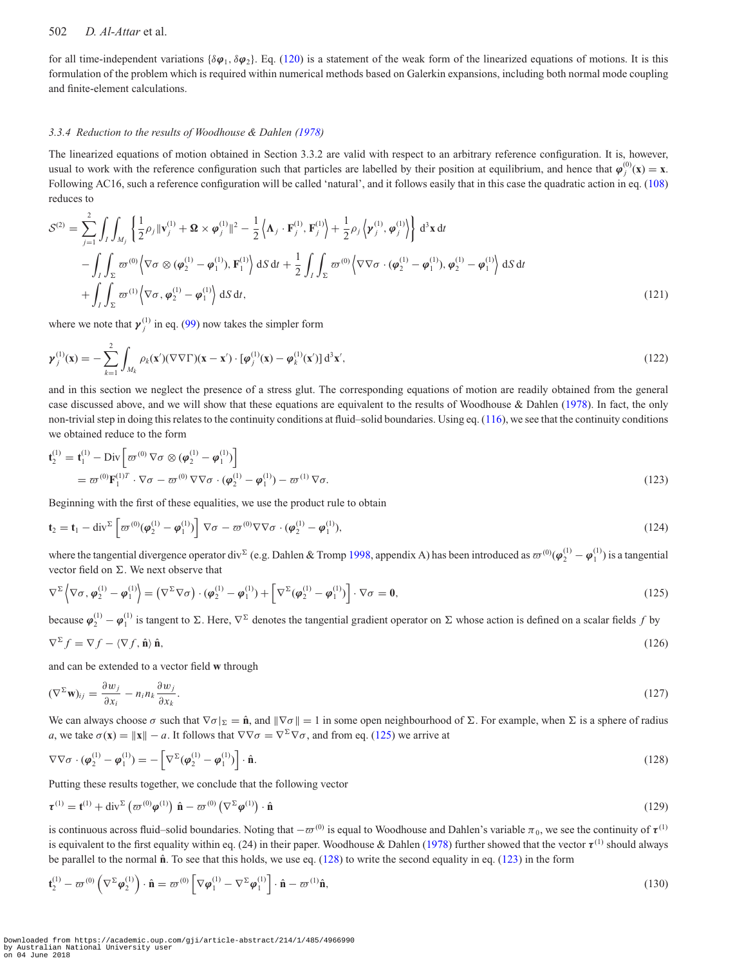for all time-independent variations  $\{\delta\varphi_1, \delta\varphi_2\}$ . Eq. (120) is a statement of the weak form of the linearized equations of motions. It is this formulation of the problem which is required within numerical methods based on Galerkin expansions, including both normal mode coupling and finite-element calculations.

## *3.3.4 Reduction to the results of Woodhouse & Dahlen [\(1978\)](#page-22-2)*

The linearized equations of motion obtained in Section 3.3.2 are valid with respect to an arbitrary reference configuration. It is, however, usual to work with the reference configuration such that particles are labelled by their position at equilibrium, and hence that  $\varphi_j^{(0)}(x) = x$ . Following AC16, such a reference configuration will be called 'natural', and it follows easily that in this case the quadratic action in eq. (108) reduces to

$$
S^{(2)} = \sum_{j=1}^{2} \int_{I} \int_{M_{j}} \left\{ \frac{1}{2} \rho_{j} \|\mathbf{v}_{j}^{(1)} + \mathbf{\Omega} \times \boldsymbol{\varphi}_{j}^{(1)}\|^{2} - \frac{1}{2} \left\langle \mathbf{\Lambda}_{j} \cdot \mathbf{F}_{j}^{(1)}, \mathbf{F}_{j}^{(1)} \right\rangle + \frac{1}{2} \rho_{j} \left\langle \mathbf{v}_{j}^{(1)}, \boldsymbol{\varphi}_{j}^{(1)} \right\rangle \right\} d^{3} \mathbf{x} dt
$$
  
\n
$$
- \int_{I} \int_{\Sigma} \varpi^{(0)} \left\langle \nabla \sigma \otimes (\boldsymbol{\varphi}_{2}^{(1)} - \boldsymbol{\varphi}_{1}^{(1)}), \mathbf{F}_{1}^{(1)} \right\rangle dS dt + \frac{1}{2} \int_{I} \int_{\Sigma} \varpi^{(0)} \left\langle \nabla \nabla \sigma \cdot (\boldsymbol{\varphi}_{2}^{(1)} - \boldsymbol{\varphi}_{1}^{(1)}), \boldsymbol{\varphi}_{2}^{(1)} - \boldsymbol{\varphi}_{1}^{(1)} \right\rangle dS dt
$$
  
\n
$$
+ \int_{I} \int_{\Sigma} \varpi^{(1)} \left\langle \nabla \sigma, \boldsymbol{\varphi}_{2}^{(1)} - \boldsymbol{\varphi}_{1}^{(1)} \right\rangle dS dt, \qquad (121)
$$

where we note that  $\gamma_j^{(1)}$  in eq. (99) now takes the simpler form

$$
\boldsymbol{\gamma}_j^{(1)}(\mathbf{x}) = -\sum_{k=1}^2 \int_{M_k} \rho_k(\mathbf{x}') (\nabla \nabla \Gamma)(\mathbf{x} - \mathbf{x}') \cdot [\boldsymbol{\varphi}_j^{(1)}(\mathbf{x}) - \boldsymbol{\varphi}_k^{(1)}(\mathbf{x}')] d^3 \mathbf{x}',\tag{122}
$$

and in this section we neglect the presence of a stress glut. The corresponding equations of motion are readily obtained from the general case discussed above, and we will show that these equations are equivalent to the results of Woodhouse & Dahlen [\(1978\)](#page-22-2). In fact, the only non-trivial step in doing this relates to the continuity conditions at fluid–solid boundaries. Using eq. (116), we see that the continuity conditions we obtained reduce to the form

$$
\mathbf{t}_{2}^{(1)} = \mathbf{t}_{1}^{(1)} - \operatorname{Div}\left[\varpi^{(0)} \nabla \sigma \otimes (\boldsymbol{\varphi}_{2}^{(1)} - \boldsymbol{\varphi}_{1}^{(1)})\right] \n= \varpi^{(0)} \mathbf{F}_{1}^{(1)T} \cdot \nabla \sigma - \varpi^{(0)} \nabla \nabla \sigma \cdot (\boldsymbol{\varphi}_{2}^{(1)} - \boldsymbol{\varphi}_{1}^{(1)}) - \varpi^{(1)} \nabla \sigma.
$$
\n(123)

Beginning with the first of these equalities, we use the product rule to obtain

$$
\mathbf{t}_2 = \mathbf{t}_1 - \mathrm{div}^{\Sigma} \left[ \varpi^{(0)} (\boldsymbol{\varphi}_2^{(1)} - \boldsymbol{\varphi}_1^{(1)}) \right] \nabla \sigma - \varpi^{(0)} \nabla \nabla \sigma \cdot (\boldsymbol{\varphi}_2^{(1)} - \boldsymbol{\varphi}_1^{(1)}), \tag{124}
$$

where the tangential divergence operator div<sup>2</sup> (e.g. Dahlen & Tromp [1998,](#page-21-1) appendix A) has been introduced as  $\varpi^{(0)}(\varphi_2^{(1)} - \varphi_1^{(1)})$  is a tangential vector field on  $\Sigma$ . We next observe that

$$
\nabla^{\Sigma} \left\langle \nabla \sigma, \boldsymbol{\varphi}_2^{(1)} - \boldsymbol{\varphi}_1^{(1)} \right\rangle = \left( \nabla^{\Sigma} \nabla \sigma \right) \cdot \left( \boldsymbol{\varphi}_2^{(1)} - \boldsymbol{\varphi}_1^{(1)} \right) + \left[ \nabla^{\Sigma} (\boldsymbol{\varphi}_2^{(1)} - \boldsymbol{\varphi}_1^{(1)}) \right] \cdot \nabla \sigma = \mathbf{0},\tag{125}
$$

because  $\varphi_2^{(1)} - \varphi_1^{(1)}$  is tangent to  $\Sigma$ . Here,  $\nabla^{\Sigma}$  denotes the tangential gradient operator on  $\Sigma$  whose action is defined on a scalar fields *f* by

$$
\nabla^{\Sigma} f = \nabla f - \langle \nabla f, \hat{\mathbf{n}} \rangle \hat{\mathbf{n}},\tag{126}
$$

and can be extended to a vector field **w** through

$$
(\nabla^{\Sigma}\mathbf{w})_{ij} = \frac{\partial w_j}{\partial x_i} - n_i n_k \frac{\partial w_j}{\partial x_k}.
$$
\n(127)

We can always choose  $\sigma$  such that  $\nabla \sigma|_{\Sigma} = \hat{\mathbf{n}}$ , and  $\|\nabla \sigma\| = 1$  in some open neighbourhood of  $\Sigma$ . For example, when  $\Sigma$  is a sphere of radius *a*, we take  $\sigma(\mathbf{x}) = ||\mathbf{x}|| - a$ . It follows that  $\nabla \nabla \sigma = \nabla^{\Sigma} \nabla \sigma$ , and from eq. (125) we arrive at

$$
\nabla \nabla \sigma \cdot (\boldsymbol{\varphi}_2^{(1)} - \boldsymbol{\varphi}_1^{(1)}) = -\left[\nabla^{\Sigma} (\boldsymbol{\varphi}_2^{(1)} - \boldsymbol{\varphi}_1^{(1)})\right] \cdot \hat{\mathbf{n}}.
$$
\n(128)

Putting these results together, we conclude that the following vector

$$
\boldsymbol{\tau}^{(1)} = \mathbf{t}^{(1)} + \mathrm{div}^{\Sigma} \left( \boldsymbol{\varpi}^{(0)} \boldsymbol{\varphi}^{(1)} \right) \hat{\mathbf{n}} - \boldsymbol{\varpi}^{(0)} \left( \nabla^{\Sigma} \boldsymbol{\varphi}^{(1)} \right) \cdot \hat{\mathbf{n}} \tag{129}
$$

is continuous across fluid–solid boundaries. Noting that  $-\varpi^{(0)}$  is equal to Woodhouse and Dahlen's variable  $\pi_0$ , we see the continuity of  $\tau^{(1)}$ is equivalent to the first equality within eq. (24) in their paper. Woodhouse & Dahlen [\(1978\)](#page-22-2) further showed that the vector *τ* (1) should always be parallel to the normal  $\hat{n}$ . To see that this holds, we use eq. (128) to write the second equality in eq. (123) in the form

$$
\mathbf{t}_{2}^{(1)} - \boldsymbol{\varpi}^{(0)} \left( \nabla^{\Sigma} \boldsymbol{\varphi}_{2}^{(1)} \right) \cdot \hat{\mathbf{n}} = \boldsymbol{\varpi}^{(0)} \left[ \nabla \boldsymbol{\varphi}_{1}^{(1)} - \nabla^{\Sigma} \boldsymbol{\varphi}_{1}^{(1)} \right] \cdot \hat{\mathbf{n}} - \boldsymbol{\varpi}^{(1)} \hat{\mathbf{n}},
$$
\n(130)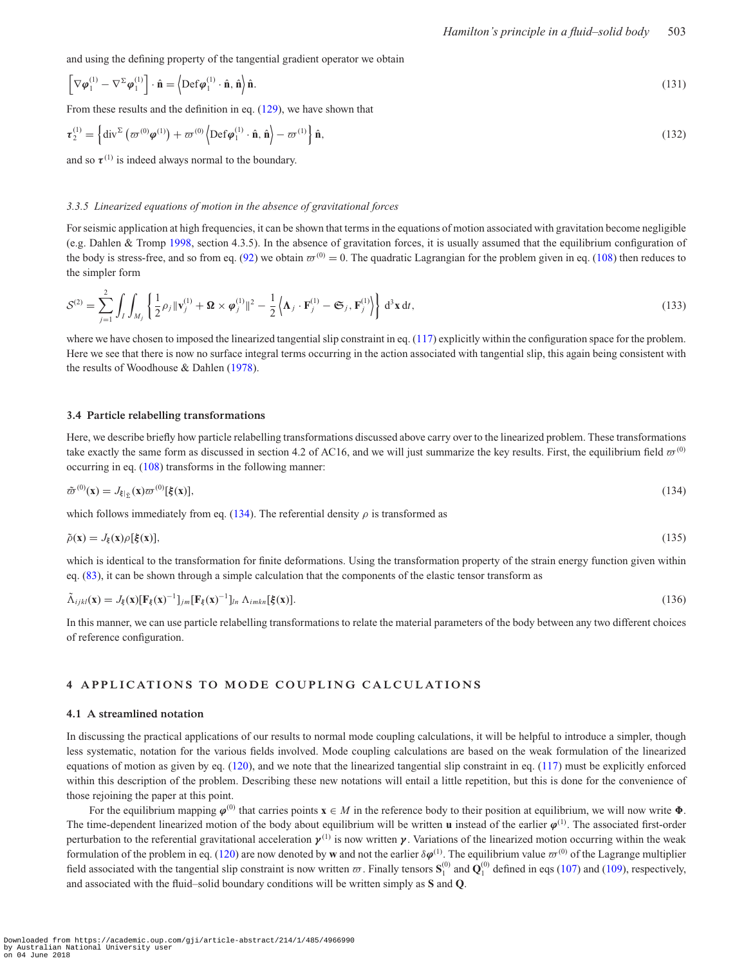and using the defining property of the tangential gradient operator we obtain

$$
\left[\nabla \boldsymbol{\varphi}_1^{(1)} - \nabla^{\Sigma} \boldsymbol{\varphi}_1^{(1)}\right] \cdot \hat{\mathbf{n}} = \left\langle \text{Def} \boldsymbol{\varphi}_1^{(1)} \cdot \hat{\mathbf{n}}, \hat{\mathbf{n}} \right\rangle \hat{\mathbf{n}}.
$$
\n(131)

From these results and the definition in eq. (129), we have shown that

$$
\boldsymbol{\tau}_2^{(1)} = \left\{ \text{div}^{\Sigma} \left( \boldsymbol{\varpi}^{(0)} \boldsymbol{\varphi}^{(1)} \right) + \boldsymbol{\varpi}^{(0)} \left\{ \text{Def} \boldsymbol{\varphi}_1^{(1)} \cdot \hat{\mathbf{n}}, \hat{\mathbf{n}} \right\} - \boldsymbol{\varpi}^{(1)} \right\} \hat{\mathbf{n}},\tag{132}
$$

and so  $\tau^{(1)}$  is indeed always normal to the boundary.

## *3.3.5 Linearized equations of motion in the absence of gravitational forces*

For seismic application at high frequencies, it can be shown that terms in the equations of motion associated with gravitation become negligible (e.g. Dahlen & Tromp [1998,](#page-21-1) section 4.3.5). In the absence of gravitation forces, it is usually assumed that the equilibrium configuration of the body is stress-free, and so from eq. (92) we obtain  $\varpi^{(0)} = 0$ . The quadratic Lagrangian for the problem given in eq. (108) then reduces to the simpler form

$$
S^{(2)} = \sum_{j=1}^{2} \int_{I} \int_{M_{j}} \left\{ \frac{1}{2} \rho_{j} \|\mathbf{v}_{j}^{(1)} + \mathbf{\Omega} \times \boldsymbol{\varphi}_{j}^{(1)}\|^{2} - \frac{1}{2} \left\langle \mathbf{\Lambda}_{j} \cdot \mathbf{F}_{j}^{(1)} - \mathbf{\mathfrak{S}}_{j}, \mathbf{F}_{j}^{(1)} \right\rangle \right\} d^{3} \mathbf{x} dt,
$$
\n(133)

where we have chosen to imposed the linearized tangential slip constraint in eq. (117) explicitly within the configuration space for the problem. Here we see that there is now no surface integral terms occurring in the action associated with tangential slip, this again being consistent with the results of Woodhouse & Dahlen [\(1978\)](#page-22-2).

## **3.4 Particle relabelling transformations**

Here, we describe briefly how particle relabelling transformations discussed above carry over to the linearized problem. These transformations take exactly the same form as discussed in section 4.2 of AC16, and we will just summarize the key results. First, the equilibrium field  $\varpi^{(0)}$ occurring in eq. (108) transforms in the following manner:

$$
\tilde{\varpi}^{(0)}(\mathbf{x}) = J_{\xi|\tilde{\Sigma}}(\mathbf{x})\varpi^{(0)}[\xi(\mathbf{x})],\tag{134}
$$

which follows immediately from eq. (134). The referential density  $\rho$  is transformed as

$$
\tilde{\rho}(\mathbf{x}) = J_{\xi}(\mathbf{x})\rho[\xi(\mathbf{x})],\tag{135}
$$

which is identical to the transformation for finite deformations. Using the transformation property of the strain energy function given within eq. (83), it can be shown through a simple calculation that the components of the elastic tensor transform as

$$
\tilde{\Lambda}_{ijkl}(\mathbf{x}) = J_{\xi}(\mathbf{x}) [\mathbf{F}_{\xi}(\mathbf{x})^{-1}]_{jm} [\mathbf{F}_{\xi}(\mathbf{x})^{-1}]_{ln} \Lambda_{imkn} [\xi(\mathbf{x})]. \tag{136}
$$

In this manner, we can use particle relabelling transformations to relate the material parameters of the body between any two different choices of reference configuration.

## **4 APPLICATIONS TO MODE COUPLING CALCULATIONS**

#### **4.1 A streamlined notation**

In discussing the practical applications of our results to normal mode coupling calculations, it will be helpful to introduce a simpler, though less systematic, notation for the various fields involved. Mode coupling calculations are based on the weak formulation of the linearized equations of motion as given by eq. (120), and we note that the linearized tangential slip constraint in eq. (117) must be explicitly enforced within this description of the problem. Describing these new notations will entail a little repetition, but this is done for the convenience of those rejoining the paper at this point.

For the equilibrium mapping  $\varphi^{(0)}$  that carries points  $\mathbf{x} \in M$  in the reference body to their position at equilibrium, we will now write  $\Phi$ . The time-dependent linearized motion of the body about equilibrium will be written **u** instead of the earlier  $\varphi^{(1)}$ . The associated first-order perturbation to the referential gravitational acceleration  $y^{(1)}$  is now written  $\gamma$ . Variations of the linearized motion occurring within the weak formulation of the problem in eq. (120) are now denoted by **w** and not the earlier  $\delta \varphi^{(1)}$ . The equilibrium value  $\varpi^{(0)}$  of the Lagrange multiplier field associated with the tangential slip constraint is now written  $\varpi$ . Finally tensors  $S_1^{(0)}$  and  $Q_1^{(0)}$  defined in eqs (107) and (109), respectively, and associated with the fluid–solid boundary conditions will be written simply as **S** and **Q**.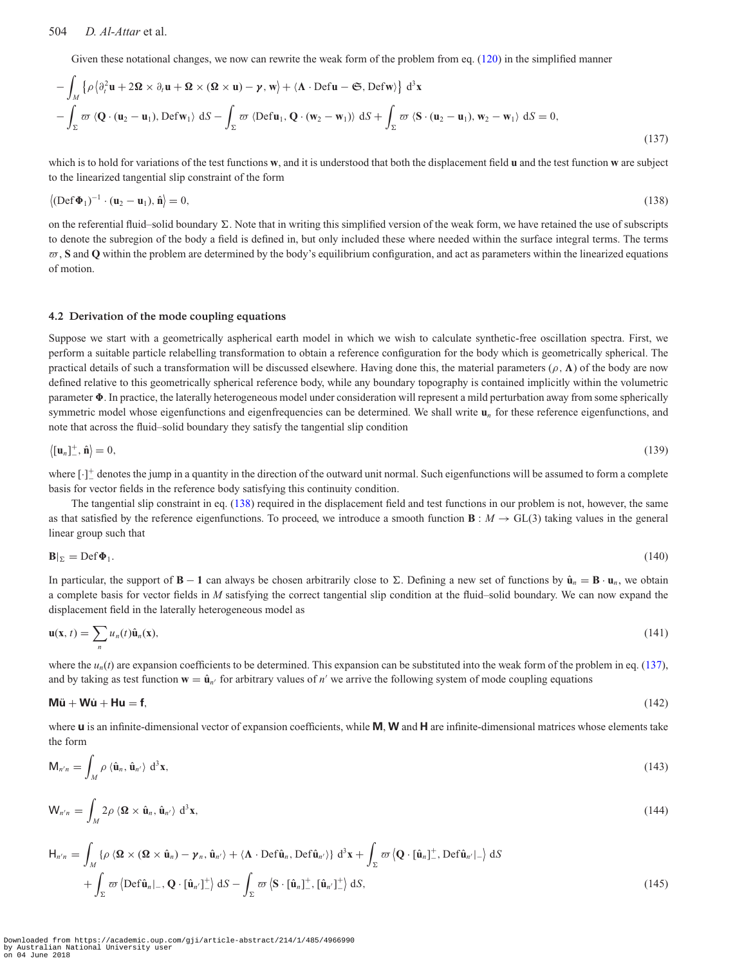Given these notational changes, we now can rewrite the weak form of the problem from eq. (120) in the simplified manner

$$
-\int_{M} \left\{ \rho \left\{ \partial_{t}^{2} \mathbf{u} + 2 \mathbf{\Omega} \times \partial_{t} \mathbf{u} + \mathbf{\Omega} \times (\mathbf{\Omega} \times \mathbf{u}) - \gamma, \mathbf{w} \right\} + \left\{ \mathbf{\Lambda} \cdot \text{Def} \mathbf{u} - \mathbf{\mathfrak{S}}, \text{Def} \mathbf{w} \right\} \right\} d^{3} \mathbf{x} -\int_{\Sigma} \varpi \left\langle \mathbf{Q} \cdot (\mathbf{u}_{2} - \mathbf{u}_{1}), \text{Def} \mathbf{w}_{1} \right\rangle dS - \int_{\Sigma} \varpi \left\langle \text{Def} \mathbf{u}_{1}, \mathbf{Q} \cdot (\mathbf{w}_{2} - \mathbf{w}_{1}) \right\rangle dS + \int_{\Sigma} \varpi \left\langle \mathbf{S} \cdot (\mathbf{u}_{2} - \mathbf{u}_{1}), \mathbf{w}_{2} - \mathbf{w}_{1} \right\rangle dS = 0,
$$
\n(137)

which is to hold for variations of the test functions **w**, and it is understood that both the displacement field **u** and the test function **w** are subject to the linearized tangential slip constraint of the form

$$
\langle \left( \mathbf{Def} \Phi_1 \right)^{-1} \cdot (\mathbf{u}_2 - \mathbf{u}_1), \hat{\mathbf{n}} \rangle = 0, \tag{138}
$$

on the referential fluid–solid boundary  $\Sigma$ . Note that in writing this simplified version of the weak form, we have retained the use of subscripts to denote the subregion of the body a field is defined in, but only included these where needed within the surface integral terms. The terms  $\varpi$ , **S** and **Q** within the problem are determined by the body's equilibrium configuration, and act as parameters within the linearized equations of motion.

#### **4.2 Derivation of the mode coupling equations**

Suppose we start with a geometrically aspherical earth model in which we wish to calculate synthetic-free oscillation spectra. First, we perform a suitable particle relabelling transformation to obtain a reference configuration for the body which is geometrically spherical. The practical details of such a transformation will be discussed elsewhere. Having done this, the material parameters  $(\rho, \Lambda)$  of the body are now defined relative to this geometrically spherical reference body, while any boundary topography is contained implicitly within the volumetric parameter  $\Phi$ . In practice, the laterally heterogeneous model under consideration will represent a mild perturbation away from some spherically symmetric model whose eigenfunctions and eigenfrequencies can be determined. We shall write **u***<sup>n</sup>* for these reference eigenfunctions, and note that across the fluid–solid boundary they satisfy the tangential slip condition

$$
\langle [\mathbf{u}_n]_\perp^+, \hat{\mathbf{n}} \rangle = 0,\tag{139}
$$

where  $[\cdot]^{\dagger}$  denotes the jump in a quantity in the direction of the outward unit normal. Such eigenfunctions will be assumed to form a complete basis for vector fields in the reference body satisfying this continuity condition.

The tangential slip constraint in eq. (138) required in the displacement field and test functions in our problem is not, however, the same as that satisfied by the reference eigenfunctions. To proceed, we introduce a smooth function  $\mathbf{B}: M \to GL(3)$  taking values in the general linear group such that

$$
\mathbf{B}|_{\Sigma} = \text{Def}\Phi_1. \tag{140}
$$

In particular, the support of **B** − **1** can always be chosen arbitrarily close to  $Σ$ . Defining a new set of functions by  $\hat{\mathbf{u}}_n = \mathbf{B} \cdot \mathbf{u}_n$ , we obtain a complete basis for vector fields in *M* satisfying the correct tangential slip condition at the fluid–solid boundary. We can now expand the displacement field in the laterally heterogeneous model as

$$
\mathbf{u}(\mathbf{x},t) = \sum_{n} u_n(t)\hat{\mathbf{u}}_n(\mathbf{x}),\tag{141}
$$

where the  $u_n(t)$  are expansion coefficients to be determined. This expansion can be substituted into the weak form of the problem in eq. (137), and by taking as test function  $\mathbf{w} = \hat{\mathbf{u}}_{n'}$  for arbitrary values of *n'* we arrive the following system of mode coupling equations

$$
\mathbf{M}\ddot{\mathbf{u}} + \mathbf{H}\mathbf{u} = \mathbf{f},\tag{142}
$$

where **u** is an infinite-dimensional vector of expansion coefficients, while **M**, **W** and **H** are infinite-dimensional matrices whose elements take the form

$$
\mathbf{M}_{n'n} = \int_M \rho \, \langle \hat{\mathbf{u}}_n, \hat{\mathbf{u}}_{n'} \rangle \, \mathrm{d}^3 \mathbf{x},\tag{143}
$$

$$
\mathsf{W}_{n'n} = \int_M 2\rho \left\langle \mathbf{\Omega} \times \hat{\mathbf{u}}_n, \hat{\mathbf{u}}_{n'} \right\rangle d^3 \mathbf{x},\tag{144}
$$

$$
\mathsf{H}_{n'n} = \int_M \{ \rho \, \langle \mathbf{\Omega} \times (\mathbf{\Omega} \times \hat{\mathbf{u}}_n) - \mathbf{\gamma}_n, \hat{\mathbf{u}}_{n'} \rangle + \langle \mathbf{\Lambda} \cdot \text{Def} \hat{\mathbf{u}}_n, \text{Def} \hat{\mathbf{u}}_{n'} \rangle \} \, \mathrm{d}^3 \mathbf{x} + \int_{\Sigma} \varpi \, \langle \mathbf{Q} \cdot [\hat{\mathbf{u}}_n]_+^+ \text{Def} \hat{\mathbf{u}}_{n'} |_{-} \rangle \, \mathrm{d}S + \int_{\Sigma} \varpi \, \langle \text{Def} \hat{\mathbf{u}}_n |_{-}, \mathbf{Q} \cdot [\hat{\mathbf{u}}_{n'}]_+^+ \text{d}S - \int_{\Sigma} \varpi \, \langle \mathbf{S} \cdot [\hat{\mathbf{u}}_n]_+^+ , [\hat{\mathbf{u}}_{n'}]_+^+ \rangle \, \mathrm{d}S,
$$
\n(145)

Downloaded from https://academic.oup.com/gji/article-abstract/214/1/485/4966990 by Australian National University user on 04 June 2018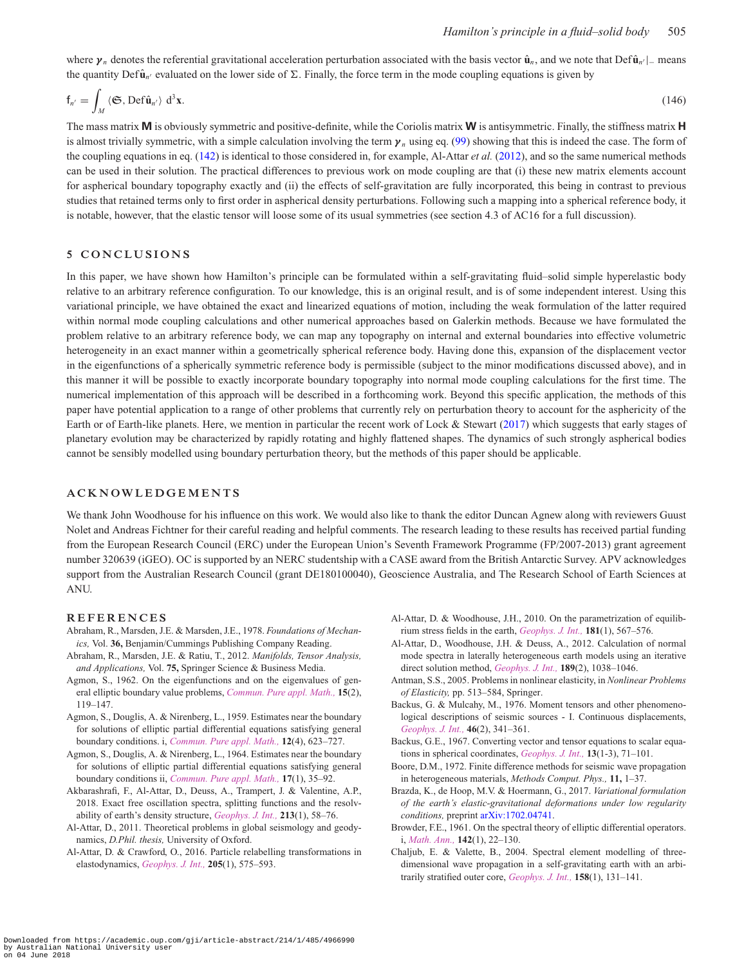where *γ*<sub>*n*</sub> denotes the referential gravitational acceleration perturbation associated with the basis vector **u**<sup>*n*</sup>, and we note that Def**u**<sup>*n*'</sup> − means the quantity Def $\hat{\mathbf{u}}_{n'}$  evaluated on the lower side of  $\Sigma$ . Finally, the force term in the mode coupling equations is given by

$$
\mathbf{f}_{n'} = \int_M \langle \mathfrak{S}, \mathrm{Def}\hat{\mathbf{u}}_{n'} \rangle \, \mathrm{d}^3 \mathbf{x}.\tag{146}
$$

The mass matrix **M** is obviously symmetric and positive-definite, while the Coriolis matrix **W** is antisymmetric. Finally, the stiffness matrix **H** is almost trivially symmetric, with a simple calculation involving the term  $\gamma_n$  using eq. (99) showing that this is indeed the case. The form of the coupling equations in eq. (142) is identical to those considered in, for example, Al-Attar *et al.* [\(2012\)](#page-20-3), and so the same numerical methods can be used in their solution. The practical differences to previous work on mode coupling are that (i) these new matrix elements account for aspherical boundary topography exactly and (ii) the effects of self-gravitation are fully incorporated, this being in contrast to previous studies that retained terms only to first order in aspherical density perturbations. Following such a mapping into a spherical reference body, it is notable, however, that the elastic tensor will loose some of its usual symmetries (see section 4.3 of AC16 for a full discussion).

# **5 CONCLUSIONS**

In this paper, we have shown how Hamilton's principle can be formulated within a self-gravitating fluid–solid simple hyperelastic body relative to an arbitrary reference configuration. To our knowledge, this is an original result, and is of some independent interest. Using this variational principle, we have obtained the exact and linearized equations of motion, including the weak formulation of the latter required within normal mode coupling calculations and other numerical approaches based on Galerkin methods. Because we have formulated the problem relative to an arbitrary reference body, we can map any topography on internal and external boundaries into effective volumetric heterogeneity in an exact manner within a geometrically spherical reference body. Having done this, expansion of the displacement vector in the eigenfunctions of a spherically symmetric reference body is permissible (subject to the minor modifications discussed above), and in this manner it will be possible to exactly incorporate boundary topography into normal mode coupling calculations for the first time. The numerical implementation of this approach will be described in a forthcoming work. Beyond this specific application, the methods of this paper have potential application to a range of other problems that currently rely on perturbation theory to account for the asphericity of the Earth or of Earth-like planets. Here, we mention in particular the recent work of Lock & Stewart [\(2017\)](#page-21-53) which suggests that early stages of planetary evolution may be characterized by rapidly rotating and highly flattened shapes. The dynamics of such strongly aspherical bodies cannot be sensibly modelled using boundary perturbation theory, but the methods of this paper should be applicable.

## **ACKNOWLEDGEMENTS**

We thank John Woodhouse for his influence on this work. We would also like to thank the editor Duncan Agnew along with reviewers Guust Nolet and Andreas Fichtner for their careful reading and helpful comments. The research leading to these results has received partial funding from the European Research Council (ERC) under the European Union's Seventh Framework Programme (FP/2007-2013) grant agreement number 320639 (iGEO). OC is supported by an NERC studentship with a CASE award from the British Antarctic Survey. APV acknowledges support from the Australian Research Council (grant DE180100040), Geoscience Australia, and The Research School of Earth Sciences at ANU.

#### **REFERENCES**

- <span id="page-20-11"></span>Abraham, R., Marsden, J.E. & Marsden, J.E., 1978. *Foundations of Mechanics,* Vol. **36,** Benjamin/Cummings Publishing Company Reading.
- <span id="page-20-9"></span>Abraham, R., Marsden, J.E. & Ratiu, T., 2012. *Manifolds, Tensor Analysis, and Applications,* Vol. **75,** Springer Science & Business Media.
- <span id="page-20-7"></span>Agmon, S., 1962. On the eigenfunctions and on the eigenvalues of general elliptic boundary value problems, *[Commun. Pure appl. Math.,](http://dx.doi.org/10.1002/cpa.3160150203)* **15**(2), 119–147.
- <span id="page-20-5"></span>Agmon, S., Douglis, A. & Nirenberg, L., 1959. Estimates near the boundary for solutions of elliptic partial differential equations satisfying general boundary conditions. i, *[Commun. Pure appl. Math.,](http://dx.doi.org/10.1002/cpa.3160120405)* **12**(4), 623–727.
- <span id="page-20-8"></span>Agmon, S., Douglis, A. & Nirenberg, L., 1964. Estimates near the boundary for solutions of elliptic partial differential equations satisfying general boundary conditions ii, *[Commun. Pure appl. Math.,](http://dx.doi.org/10.1002/cpa.3160170104)* **17**(1), 35–92.
- <span id="page-20-4"></span>Akbarashrafi, F., Al-Attar, D., Deuss, A., Trampert, J. & Valentine, A.P., 2018. Exact free oscillation spectra, splitting functions and the resolvability of earth's density structure, *[Geophys. J. Int.,](http://dx.doi.org/10.1093/gji/ggx539)* **213**(1), 58–76.
- <span id="page-20-16"></span>Al-Attar, D., 2011. Theoretical problems in global seismology and geodynamics, *D.Phil. thesis,* University of Oxford.
- <span id="page-20-0"></span>Al-Attar, D. & Crawford, O., 2016. Particle relabelling transformations in elastodynamics, *[Geophys. J. Int.,](http://dx.doi.org/10.1093/gji/ggw032)* **205**(1), 575–593.
- <span id="page-20-15"></span>Al-Attar, D. & Woodhouse, J.H., 2010. On the parametrization of equilibrium stress fields in the earth, *[Geophys. J. Int.,](http://dx.doi.org/10.1111/j.1365-246X.2010.04527.x)* **181**(1), 567–576.
- <span id="page-20-3"></span>Al-Attar, D., Woodhouse, J.H. & Deuss, A., 2012. Calculation of normal mode spectra in laterally heterogeneous earth models using an iterative direct solution method, *[Geophys. J. Int.,](http://dx.doi.org/10.1111/j.1365-246X.2012.05406.x)* **189**(2), 1038–1046.
- <span id="page-20-10"></span>Antman, S.S., 2005. Problems in nonlinear elasticity, in *Nonlinear Problems of Elasticity,* pp. 513–584, Springer.
- <span id="page-20-13"></span>Backus, G. & Mulcahy, M., 1976. Moment tensors and other phenomenological descriptions of seismic sources - I. Continuous displacements, *[Geophys. J. Int.,](http://dx.doi.org/10.1111/j.1365-246X.1976.tb04162.x)* **46**(2), 341–361.
- <span id="page-20-14"></span>Backus, G.E., 1967. Converting vector and tensor equations to scalar equations in spherical coordinates, *[Geophys. J. Int.,](http://dx.doi.org/10.1111/j.1365-246X.1967.tb02147.x)* **13**(1-3), 71–101.
- <span id="page-20-1"></span>Boore, D.M., 1972. Finite difference methods for seismic wave propagation in heterogeneous materials, *Methods Comput. Phys.,* **11,** 1–37.
- <span id="page-20-12"></span>Brazda, K., de Hoop, M.V. & Hoermann, G., 2017. *Variational formulation of the earth's elastic-gravitational deformations under low regularity conditions,* preprint [arXiv:1702.04741.](arXiv:1702.04741)
- <span id="page-20-6"></span>Browder, F.E., 1961. On the spectral theory of elliptic differential operators. i, *[Math. Ann.,](http://dx.doi.org/10.1007/BF01343363)* **142**(1), 22–130.
- <span id="page-20-2"></span>Chaljub, E. & Valette, B., 2004. Spectral element modelling of threedimensional wave propagation in a self-gravitating earth with an arbitrarily stratified outer core, *[Geophys. J. Int.,](http://dx.doi.org/10.1111/j.1365-246X.2004.02267.x)* **158**(1), 131–141.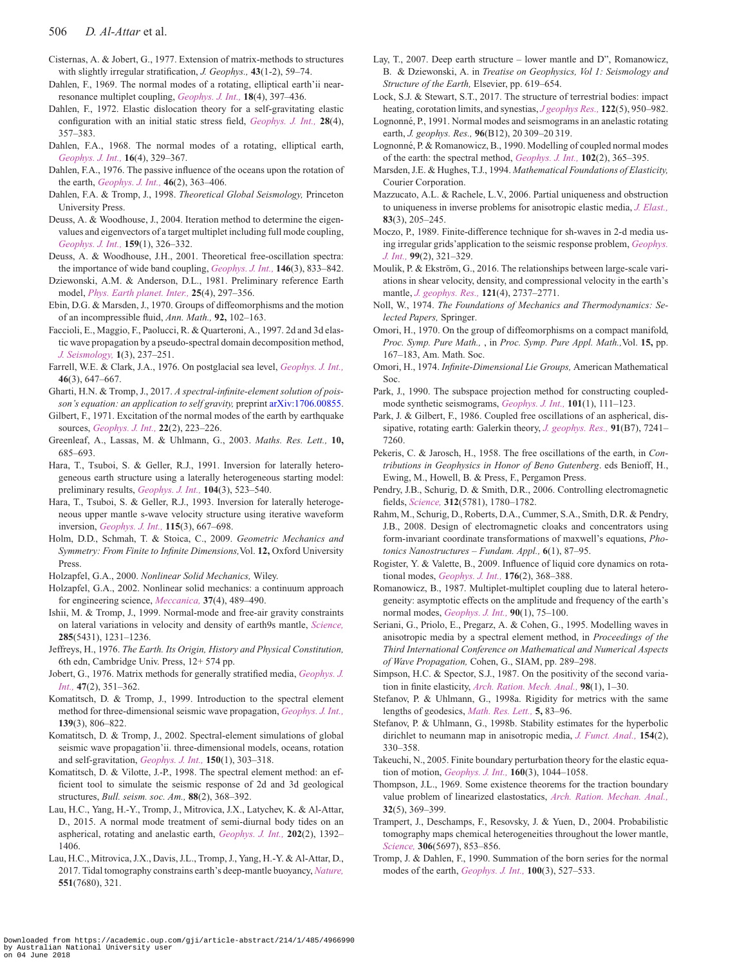- <span id="page-21-32"></span>Cisternas, A. & Jobert, G., 1977. Extension of matrix-methods to structures with slightly irregular stratification, *J. Geophys.,* **43**(1-2), 59–74.
- <span id="page-21-15"></span>Dahlen, F., 1969. The normal modes of a rotating, elliptical earth'ii nearresonance multiplet coupling, *[Geophys. J. Int.,](http://dx.doi.org/10.1111/j.1365-246X.1969.tb03576.x)* **18**(4), 397–436.
- <span id="page-21-43"></span>Dahlen, F., 1972. Elastic dislocation theory for a self-gravitating elastic configuration with an initial static stress field, *[Geophys. J. Int.,](http://dx.doi.org/10.1111/j.1365-246X.1972.tb06798.x)* **28**(4), 357–383.
- <span id="page-21-14"></span>Dahlen, F.A., 1968. The normal modes of a rotating, elliptical earth, *[Geophys. J. Int.,](http://dx.doi.org/10.1111/j.1365-246X.1968.tb00229.x)* **16**(4), 329–367.
- <span id="page-21-49"></span>Dahlen, F.A., 1976. The passive influence of the oceans upon the rotation of the earth, *[Geophys. J. Int.,](http://dx.doi.org/10.1111/j.1365-246X.1976.tb04163.x)* **46**(2), 363–406.
- <span id="page-21-1"></span>Dahlen, F.A. & Tromp, J., 1998. *Theoretical Global Seismology,* Princeton University Press.
- <span id="page-21-24"></span>Deuss, A. & Woodhouse, J., 2004. Iteration method to determine the eigenvalues and eigenvectors of a target multiplet including full mode coupling, *[Geophys. J. Int.,](http://dx.doi.org/10.1111/j.1365-246X.2004.02399.x)* **159**(1), 326–332.
- <span id="page-21-30"></span>Deuss, A. & Woodhouse, J.H., 2001. Theoretical free-oscillation spectra: the importance of wide band coupling, *[Geophys. J. Int.,](http://dx.doi.org/10.1046/j.1365-246X.2001.00502.x)* **146**(3), 833–842.
- <span id="page-21-26"></span>Dziewonski, A.M. & Anderson, D.L., 1981. Preliminary reference Earth model, *[Phys. Earth planet. Inter.,](http://dx.doi.org/10.1016/0031-9201(81)90046-7)* **25**(4), 297–356.
- <span id="page-21-40"></span>Ebin, D.G. & Marsden, J., 1970. Groups of diffeomorphisms and the motion of an incompressible fluid, *Ann. Math.,* **92,** 102–163.
- <span id="page-21-5"></span>Faccioli, E., Maggio, F., Paolucci, R. & Quarteroni, A., 1997. 2d and 3d elastic wave propagation by a pseudo-spectral domain decomposition method, *[J. Seismology,](http://dx.doi.org/10.1023/A:1009758820546)* **1**(3), 237–251.
- <span id="page-21-50"></span>Farrell, W.E. & Clark, J.A., 1976. On postglacial sea level, *[Geophys. J. Int.,](http://dx.doi.org/10.1111/j.1365-246X.1976.tb01252.x)* **46**(3), 647–667.
- <span id="page-21-13"></span>Gharti, H.N. & Tromp, J., 2017. *A spectral-infinite-element solution of poisson's equation: an application to self gravity,* preprint [arXiv:1706.00855.](arXiv:1706.00855)
- <span id="page-21-2"></span>Gilbert, F., 1971. Excitation of the normal modes of the earth by earthquake sources, *[Geophys. J. Int.,](http://dx.doi.org/10.1111/j.1365-246X.1971.tb03593.x)* **22**(2), 223–226.
- <span id="page-21-36"></span>Greenleaf, A., Lassas, M. & Uhlmann, G., 2003. *Maths. Res. Lett.,* **10,** 685–693.
- <span id="page-21-21"></span>Hara, T., Tsuboi, S. & Geller, R.J., 1991. Inversion for laterally heterogeneous earth structure using a laterally heterogeneous starting model: preliminary results, *[Geophys. J. Int.,](http://dx.doi.org/10.1111/j.1365-246X.1991.tb05699.x)* **104**(3), 523–540.
- <span id="page-21-22"></span>Hara, T., Tsuboi, S. & Geller, R.J., 1993. Inversion for laterally heterogeneous upper mantle s-wave velocity structure using iterative waveform inversion, *[Geophys. J. Int.,](http://dx.doi.org/10.1111/j.1365-246X.1993.tb01487.x)* **115**(3), 667–698.
- <span id="page-21-47"></span>Holm, D.D., Schmah, T. & Stoica, C., 2009. *Geometric Mechanics and Symmetry: From Finite to Infinite Dimensions,*Vol. **12,** Oxford University Press.
- <span id="page-21-48"></span>Holzapfel, G.A., 2000. *Nonlinear Solid Mechanics,* Wiley.
- <span id="page-21-46"></span>Holzapfel, G.A., 2002. Nonlinear solid mechanics: a continuum approach for engineering science, *[Meccanica,](http://dx.doi.org/10.1023/A:1020843529530)* **37**(4), 489–490.
- <span id="page-21-8"></span>Ishii, M. & Tromp, J., 1999. Normal-mode and free-air gravity constraints on lateral variations in velocity and density of earth9s mantle, *[Science,](http://dx.doi.org/10.1126/science.285.5431.1231)* **285**(5431), 1231–1236.
- <span id="page-21-52"></span>Jeffreys, H., 1976. *The Earth. Its Origin, History and Physical Constitution,* 6th edn, Cambridge Univ. Press, 12+ 574 pp.
- <span id="page-21-31"></span>J[obert, G., 1976. Matrix methods for generally stratified media,](http://dx.doi.org/10.1111/j.1365-246X.1976.tb01278.x) *Geophys. J. Int.,* **47**(2), 351–362.
- <span id="page-21-7"></span>Komatitsch, D. & Tromp, J., 1999. Introduction to the spectral element method for three-dimensional seismic wave propagation, *[Geophys. J. Int.,](http://dx.doi.org/10.1046/j.1365-246x.1999.00967.x)* **139**(3), 806–822.
- <span id="page-21-51"></span>Komatitsch, D. & Tromp, J., 2002. Spectral-element simulations of global seismic wave propagation'ii. three-dimensional models, oceans, rotation and self-gravitation, *[Geophys. J. Int.,](http://dx.doi.org/10.1046/j.1365-246X.2002.01716.x)* **150**(1), 303–318.
- <span id="page-21-6"></span>Komatitsch, D. & Vilotte, J.-P., 1998. The spectral element method: an efficient tool to simulate the seismic response of 2d and 3d geological structures, *Bull. seism. soc. Am.,* **88**(2), 368–392.
- <span id="page-21-25"></span>Lau, H.C., Yang, H.-Y., Tromp, J., Mitrovica, J.X., Latychev, K. & Al-Attar, D., 2015. A normal mode treatment of semi-diurnal body tides on an aspherical, rotating and anelastic earth, *[Geophys. J. Int.,](http://dx.doi.org/10.1093/gji/ggv227)* **202**(2), 1392– 1406.
- <span id="page-21-12"></span>Lau, H.C., Mitrovica, J.X., Davis, J.L., Tromp, J., Yang, H.-Y. & Al-Attar, D., 2017. Tidal tomography constrains earth's deep-mantle buoyancy, *[Nature,](http://dx.doi.org/10.1038/nature24452)* **551**(7680), 321.
- <span id="page-21-10"></span>Lay, T., 2007. Deep earth structure – lower mantle and D", Romanowicz, B. & Dziewonski, A. in *Treatise on Geophysics, Vol 1: Seismology and Structure of the Earth,* Elsevier, pp. 619–654.
- <span id="page-21-53"></span>Lock, S.J. & Stewart, S.T., 2017. The structure of terrestrial bodies: impact heating, corotation limits, and synestias, *[J geophys Res.,](http://dx.doi.org/10.1002/2016JE005239)* **122**(5), 950–982.
- <span id="page-21-23"></span>Lognonné, P., 1991. Normal modes and seismograms in an anelastic rotating earth, *J. geophys. Res.,* **96**(B12), 20 309–20 319.
- <span id="page-21-18"></span>Lognonné, P. & Romanowicz, B., 1990. Modelling of coupled normal modes of the earth: the spectral method, *[Geophys. J. Int.,](http://dx.doi.org/10.1111/j.1365-246X.1990.tb04472.x)* **102**(2), 365–395.
- <span id="page-21-45"></span>Marsden, J.E. & Hughes, T.J., 1994. *Mathematical Foundations of Elasticity,* Courier Corporation.
- <span id="page-21-37"></span>Mazzucato, A.L. & Rachele, L.V., 2006. Partial uniqueness and obstruction to uniqueness in inverse problems for anisotropic elastic media, *[J. Elast.,](http://dx.doi.org/10.1007/s10659-005-9023-3)* **83**(3), 205–245.
- <span id="page-21-3"></span>Moczo, P., 1989. Finite-difference technique for sh-waves in 2-d media us[ing irregular grids'application to the seismic response problem,](http://dx.doi.org/10.1111/j.1365-246X.1989.tb01691.x) *Geophys. J. Int.,* **99**(2), 321–329.
- <span id="page-21-11"></span>Moulik, P. & Ekström, G., 2016. The relationships between large-scale variations in shear velocity, density, and compressional velocity in the earth's mantle, *[J. geophys. Res.,](http://dx.doi.org/10.1002/2015JB012679)* **121**(4), 2737–2771.
- <span id="page-21-44"></span>Noll, W., 1974. *The Foundations of Mechanics and Thermodynamics: Selected Papers,* Springer.
- <span id="page-21-41"></span>Omori, H., 1970. On the group of diffeomorphisms on a compact manifold, *Proc. Symp. Pure Math.,* , in *Proc. Symp. Pure Appl. Math.,*Vol. **15,** pp. 167–183, Am. Math. Soc.
- <span id="page-21-42"></span>Omori, H., 1974. *Infinite-Dimensional Lie Groups,* American Mathematical Soc.
- <span id="page-21-19"></span>Park, J., 1990. The subspace projection method for constructing coupledmode synthetic seismograms, *[Geophys. J. Int.,](http://dx.doi.org/10.1111/j.1365-246X.1990.tb00761.x)* **101**(1), 111–123.
- <span id="page-21-16"></span>Park, J. & Gilbert, F., 1986. Coupled free oscillations of an aspherical, dissipative, rotating earth: Galerkin theory, *[J. geophys. Res.,](http://dx.doi.org/10.1029/JB091iB07p07241)* **91**(B7), 7241– 7260.
- <span id="page-21-0"></span>Pekeris, C. & Jarosch, H., 1958. The free oscillations of the earth, in *Contributions in Geophysics in Honor of Beno Gutenberg*. eds Benioff, H., Ewing, M., Howell, B. & Press, F., Pergamon Press.
- <span id="page-21-38"></span>Pendry, J.B., Schurig, D. & Smith, D.R., 2006. Controlling electromagnetic fields, *[Science,](http://dx.doi.org/10.1126/science.1125907)* **312**(5781), 1780–1782.
- <span id="page-21-39"></span>Rahm, M., Schurig, D., Roberts, D.A., Cummer, S.A., Smith, D.R. & Pendry, J.B., 2008. Design of electromagnetic cloaks and concentrators using form-invariant coordinate transformations of maxwell's equations, *Photonics Nanostructures – Fundam. Appl.,* **6**(1), 87–95.
- <span id="page-21-29"></span>Rogister, Y. & Valette, B., 2009. Influence of liquid core dynamics on rotational modes, *[Geophys. J. Int.,](http://dx.doi.org/10.1111/j.1365-246X.2008.03996.x)* **176**(2), 368–388.
- <span id="page-21-17"></span>Romanowicz, B., 1987. Multiplet-multiplet coupling due to lateral heterogeneity: asymptotic effects on the amplitude and frequency of the earth's normal modes, *[Geophys. J. Int.,](http://dx.doi.org/10.1111/j.1365-246X.1987.tb00676.x)* **90**(1), 75–100.
- <span id="page-21-4"></span>Seriani, G., Priolo, E., Pregarz, A. & Cohen, G., 1995. Modelling waves in anisotropic media by a spectral element method, in *Proceedings of the Third International Conference on Mathematical and Numerical Aspects of Wave Propagation,* Cohen, G., SIAM, pp. 289–298.
- <span id="page-21-28"></span>Simpson, H.C. & Spector, S.J., 1987. On the positivity of the second variation in finite elasticity, *[Arch. Ration. Mech. Anal.,](http://dx.doi.org/10.1007/BF00279960)* **98**(1), 1–30.
- <span id="page-21-35"></span>Stefanov, P. & Uhlmann, G., 1998a. Rigidity for metrics with the same lengths of geodesics, *[Math. Res. Lett.,](http://dx.doi.org/10.4310/MRL.1998.v5.n1.a7)* **5,** 83–96.
- <span id="page-21-34"></span>Stefanov, P. & Uhlmann, G., 1998b. Stability estimates for the hyperbolic dirichlet to neumann map in anisotropic media, *[J. Funct. Anal.,](http://dx.doi.org/10.1006/jfan.1997.3188)* **154**(2), 330–358.
- <span id="page-21-33"></span>Takeuchi, N., 2005. Finite boundary perturbation theory for the elastic equation of motion, *[Geophys. J. Int.,](http://dx.doi.org/10.1111/j.1365-246X.2005.02572.x)* **160**(3), 1044–1058.
- <span id="page-21-27"></span>Thompson, J.L., 1969. Some existence theorems for the traction boundary value problem of linearized elastostatics, *[Arch. Ration. Mechan. Anal.,](http://dx.doi.org/10.1007/BF00275646)* **32**(5), 369–399.
- <span id="page-21-9"></span>Trampert, J., Deschamps, F., Resovsky, J. & Yuen, D., 2004. Probabilistic tomography maps chemical heterogeneities throughout the lower mantle, *[Science,](http://dx.doi.org/10.1126/science.1101996)* **306**(5697), 853–856.
- <span id="page-21-20"></span>Tromp, J. & Dahlen, F., 1990. Summation of the born series for the normal modes of the earth, *[Geophys. J. Int.,](http://dx.doi.org/10.1111/j.1365-246X.1990.tb00704.x)* **100**(3), 527–533.